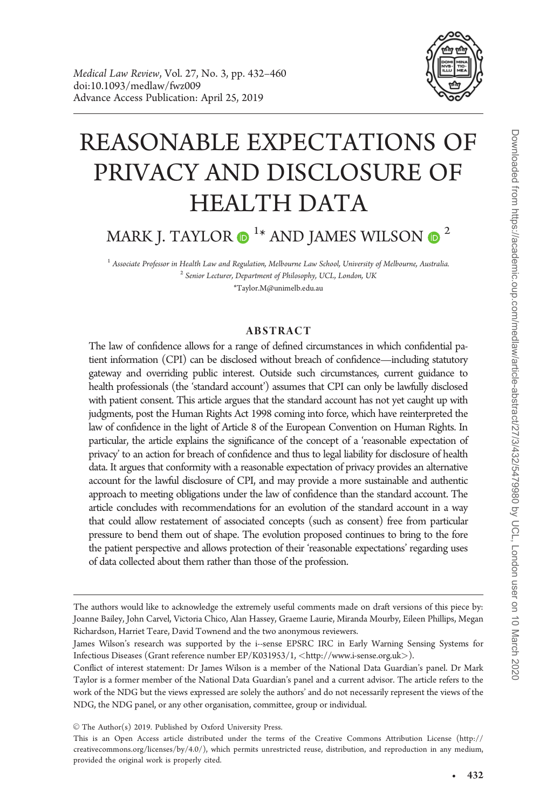

# REASONABLE EXPECTATIONS OF PRIVACY AND DISCLOSURE OF HEALTH DATA

MARK J. TAYLOR  $\bullet$  <sup>1\*</sup> and james wilson  $\bullet$  <sup>2</sup>

 $^{\rm 1}$  Associate Professor in Health Law and Regulation, Melbourne Law School, University of Melbourne, Australia. <sup>2</sup> Senior Lecturer, Department of Philosophy, UCL, London, UK \*Taylor.M@unimelb.edu.au

#### ABSTRACT

The law of confidence allows for a range of defined circumstances in which confidential patient information (CPI) can be disclosed without breach of confidence—including statutory gateway and overriding public interest. Outside such circumstances, current guidance to health professionals (the 'standard account') assumes that CPI can only be lawfully disclosed with patient consent. This article argues that the standard account has not yet caught up with judgments, post the Human Rights Act 1998 coming into force, which have reinterpreted the law of confidence in the light of Article 8 of the European Convention on Human Rights. In particular, the article explains the significance of the concept of a 'reasonable expectation of privacy' to an action for breach of confidence and thus to legal liability for disclosure of health data. It argues that conformity with a reasonable expectation of privacy provides an alternative account for the lawful disclosure of CPI, and may provide a more sustainable and authentic approach to meeting obligations under the law of confidence than the standard account. The article concludes with recommendations for an evolution of the standard account in a way that could allow restatement of associated concepts (such as consent) free from particular pressure to bend them out of shape. The evolution proposed continues to bring to the fore the patient perspective and allows protection of their 'reasonable expectations' regarding uses of data collected about them rather than those of the profession.

The authors would like to acknowledge the extremely useful comments made on draft versions of this piece by: Joanne Bailey, John Carvel, Victoria Chico, Alan Hassey, Graeme Laurie, Miranda Mourby, Eileen Phillips, Megan Richardson, Harriet Teare, David Townend and the two anonymous reviewers.

James Wilson's research was supported by the i--sense EPSRC IRC in Early Warning Sensing Systems for Infectious Diseases (Grant reference number EP/K031953/1, <<http://www.i-sense.org.uk>>).

Conflict of interest statement: Dr James Wilson is a member of the National Data Guardian's panel. Dr Mark Taylor is a former member of the National Data Guardian's panel and a current advisor. The article refers to the work of the NDG but the views expressed are solely the authors' and do not necessarily represent the views of the NDG, the NDG panel, or any other organisation, committee, group or individual.

 $\odot$  The Author(s) 2019. Published by Oxford University Press.

This is an Open Access article distributed under the terms of the Creative Commons Attribution License (http:// creativecommons.org/licenses/by/4.0/), which permits unrestricted reuse, distribution, and reproduction in any medium, provided the original work is properly cited.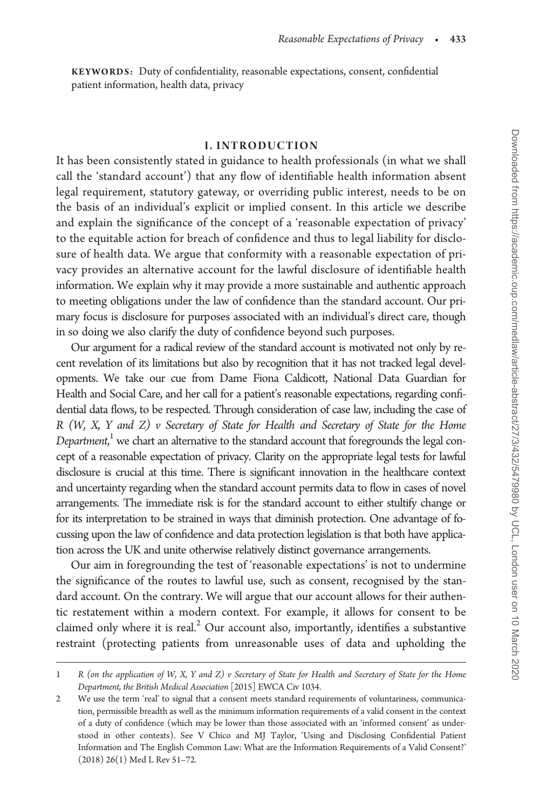KEYWORDS: Duty of confidentiality, reasonable expectations, consent, confidential patient information, health data, privacy

#### I. INTRODUCTION

It has been consistently stated in guidance to health professionals (in what we shall call the 'standard account') that any flow of identifiable health information absent legal requirement, statutory gateway, or overriding public interest, needs to be on the basis of an individual's explicit or implied consent. In this article we describe and explain the significance of the concept of a 'reasonable expectation of privacy' to the equitable action for breach of confidence and thus to legal liability for disclosure of health data. We argue that conformity with a reasonable expectation of privacy provides an alternative account for the lawful disclosure of identifiable health information. We explain why it may provide a more sustainable and authentic approach to meeting obligations under the law of confidence than the standard account. Our primary focus is disclosure for purposes associated with an individual's direct care, though in so doing we also clarify the duty of confidence beyond such purposes.

Our argument for a radical review of the standard account is motivated not only by recent revelation of its limitations but also by recognition that it has not tracked legal developments. We take our cue from Dame Fiona Caldicott, National Data Guardian for Health and Social Care, and her call for a patient's reasonable expectations, regarding confidential data flows, to be respected. Through consideration of case law, including the case of R (W, X, Y and Z) v Secretary of State for Health and Secretary of State for the Home Department,<sup>1</sup> we chart an alternative to the standard account that foregrounds the legal concept of a reasonable expectation of privacy. Clarity on the appropriate legal tests for lawful disclosure is crucial at this time. There is significant innovation in the healthcare context and uncertainty regarding when the standard account permits data to flow in cases of novel arrangements. The immediate risk is for the standard account to either stultify change or for its interpretation to be strained in ways that diminish protection. One advantage of focussing upon the law of confidence and data protection legislation is that both have application across the UK and unite otherwise relatively distinct governance arrangements.

Our aim in foregrounding the test of 'reasonable expectations' is not to undermine the significance of the routes to lawful use, such as consent, recognised by the standard account. On the contrary. We will argue that our account allows for their authentic restatement within a modern context. For example, it allows for consent to be claimed only where it is real.<sup>2</sup> Our account also, importantly, identifies a substantive restraint (protecting patients from unreasonable uses of data and upholding the

<sup>1</sup> R (on the application of W, X, Y and Z) v Secretary of State for Health and Secretary of State for the Home Department, the British Medical Association [2015] EWCA Civ 1034.

<sup>2</sup> We use the term 'real' to signal that a consent meets standard requirements of voluntariness, communication, permissible breadth as well as the minimum information requirements of a valid consent in the context of a duty of confidence (which may be lower than those associated with an 'informed consent' as understood in other contexts). See V Chico and MJ Taylor, 'Using and Disclosing Confidential Patient Information and The English Common Law: What are the Information Requirements of a Valid Consent?' (2018) 26(1) Med L Rev 51–72.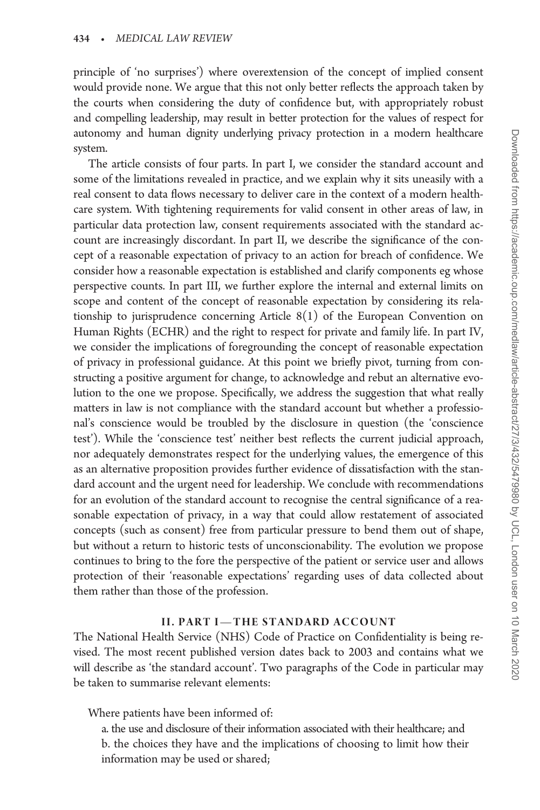principle of 'no surprises') where overextension of the concept of implied consent would provide none. We argue that this not only better reflects the approach taken by the courts when considering the duty of confidence but, with appropriately robust and compelling leadership, may result in better protection for the values of respect for autonomy and human dignity underlying privacy protection in a modern healthcare system.

The article consists of four parts. In part I, we consider the standard account and some of the limitations revealed in practice, and we explain why it sits uneasily with a real consent to data flows necessary to deliver care in the context of a modern healthcare system. With tightening requirements for valid consent in other areas of law, in particular data protection law, consent requirements associated with the standard account are increasingly discordant. In part II, we describe the significance of the concept of a reasonable expectation of privacy to an action for breach of confidence. We consider how a reasonable expectation is established and clarify components eg whose perspective counts. In part III, we further explore the internal and external limits on scope and content of the concept of reasonable expectation by considering its relationship to jurisprudence concerning Article  $8(1)$  of the European Convention on Human Rights (ECHR) and the right to respect for private and family life. In part IV, we consider the implications of foregrounding the concept of reasonable expectation of privacy in professional guidance. At this point we briefly pivot, turning from constructing a positive argument for change, to acknowledge and rebut an alternative evolution to the one we propose. Specifically, we address the suggestion that what really matters in law is not compliance with the standard account but whether a professional's conscience would be troubled by the disclosure in question (the 'conscience test'). While the 'conscience test' neither best reflects the current judicial approach, nor adequately demonstrates respect for the underlying values, the emergence of this as an alternative proposition provides further evidence of dissatisfaction with the standard account and the urgent need for leadership. We conclude with recommendations for an evolution of the standard account to recognise the central significance of a reasonable expectation of privacy, in a way that could allow restatement of associated concepts (such as consent) free from particular pressure to bend them out of shape, but without a return to historic tests of unconscionability. The evolution we propose continues to bring to the fore the perspective of the patient or service user and allows protection of their 'reasonable expectations' regarding uses of data collected about them rather than those of the profession.

# II. PART I—THE STANDARD ACCOUNT

The National Health Service (NHS) Code of Practice on Confidentiality is being revised. The most recent published version dates back to 2003 and contains what we will describe as 'the standard account'. Two paragraphs of the Code in particular may be taken to summarise relevant elements:

Where patients have been informed of:

a. the use and disclosure of their information associated with their healthcare; and b. the choices they have and the implications of choosing to limit how their information may be used or shared;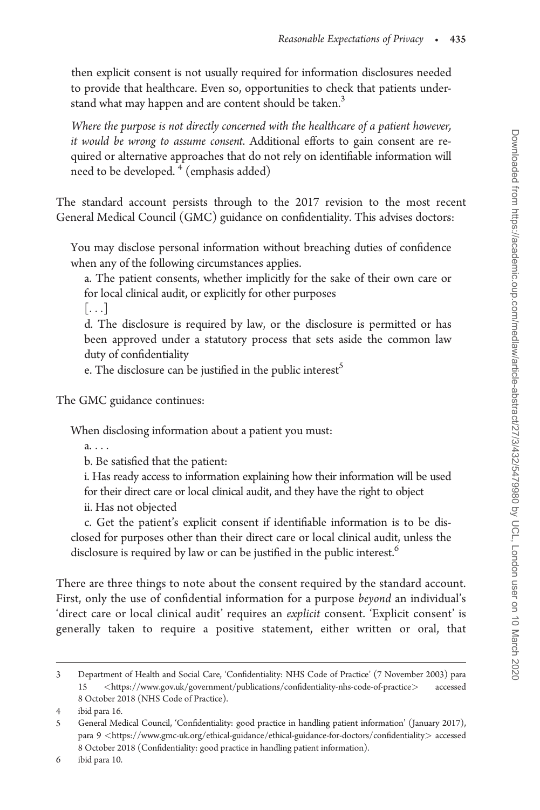then explicit consent is not usually required for information disclosures needed to provide that healthcare. Even so, opportunities to check that patients understand what may happen and are content should be taken.<sup>3</sup>

Where the purpose is not directly concerned with the healthcare of a patient however, it would be wrong to assume consent. Additional efforts to gain consent are required or alternative approaches that do not rely on identifiable information will need to be developed.  $4$  (emphasis added)

The standard account persists through to the 2017 revision to the most recent General Medical Council (GMC) guidance on confidentiality. This advises doctors:

You may disclose personal information without breaching duties of confidence when any of the following circumstances applies.

a. The patient consents, whether implicitly for the sake of their own care or for local clinical audit, or explicitly for other purposes

[...]

d. The disclosure is required by law, or the disclosure is permitted or has been approved under a statutory process that sets aside the common law duty of confidentiality

e. The disclosure can be justified in the public interest<sup>5</sup>

The GMC guidance continues:

When disclosing information about a patient you must:

a. ...

b. Be satisfied that the patient:

i. Has ready access to information explaining how their information will be used for their direct care or local clinical audit, and they have the right to object ii. Has not objected

c. Get the patient's explicit consent if identifiable information is to be disclosed for purposes other than their direct care or local clinical audit, unless the disclosure is required by law or can be justified in the public interest.<sup>6</sup>

There are three things to note about the consent required by the standard account. First, only the use of confidential information for a purpose beyond an individual's 'direct care or local clinical audit' requires an explicit consent. 'Explicit consent' is generally taken to require a positive statement, either written or oral, that

<sup>3</sup> Department of Health and Social Care, 'Confidentiality: NHS Code of Practice' (7 November 2003) para 15 <<https://www.gov.uk/government/publications/confidentiality-nhs-code-of-practice>> accessed 8 October 2018 (NHS Code of Practice).

<sup>4</sup> ibid para 16.

<sup>5</sup> General Medical Council, 'Confidentiality: good practice in handling patient information' (January 2017), para 9 <<https://www.gmc-uk.org/ethical-guidance/ethical-guidance-for-doctors/confidentiality>> accessed 8 October 2018 (Confidentiality: good practice in handling patient information).

<sup>6</sup> ibid para 10.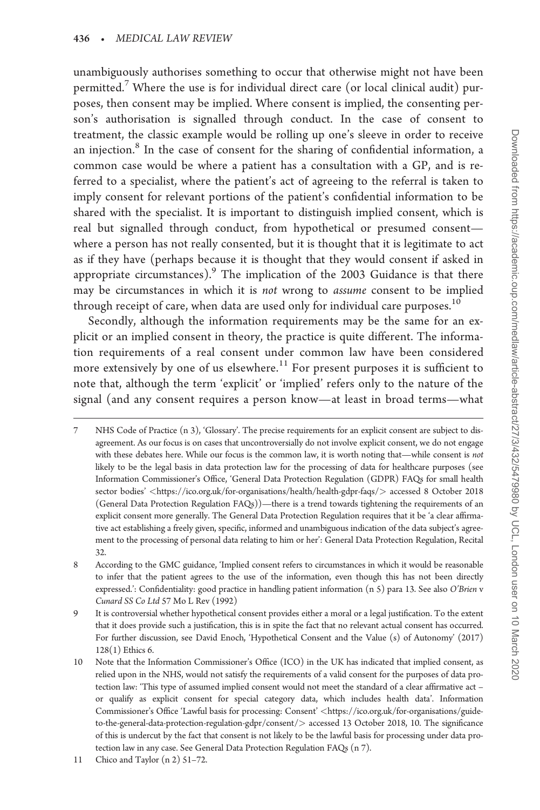unambiguously authorises something to occur that otherwise might not have been permitted.<sup>7</sup> Where the use is for individual direct care (or local clinical audit) purposes, then consent may be implied. Where consent is implied, the consenting person's authorisation is signalled through conduct. In the case of consent to treatment, the classic example would be rolling up one's sleeve in order to receive an injection.<sup>8</sup> In the case of consent for the sharing of confidential information, a common case would be where a patient has a consultation with a GP, and is referred to a specialist, where the patient's act of agreeing to the referral is taken to imply consent for relevant portions of the patient's confidential information to be shared with the specialist. It is important to distinguish implied consent, which is real but signalled through conduct, from hypothetical or presumed consent where a person has not really consented, but it is thought that it is legitimate to act as if they have (perhaps because it is thought that they would consent if asked in appropriate circumstances). $9$  The implication of the 2003 Guidance is that there may be circumstances in which it is not wrong to assume consent to be implied through receipt of care, when data are used only for individual care purposes.<sup>10</sup>

Secondly, although the information requirements may be the same for an explicit or an implied consent in theory, the practice is quite different. The information requirements of a real consent under common law have been considered more extensively by one of us elsewhere.<sup>11</sup> For present purposes it is sufficient to note that, although the term 'explicit' or 'implied' refers only to the nature of the signal (and any consent requires a person know—at least in broad terms—what

11 Chico and Taylor (n 2) 51–72.

<sup>7</sup> NHS Code of Practice (n 3), 'Glossary'. The precise requirements for an explicit consent are subject to disagreement. As our focus is on cases that uncontroversially do not involve explicit consent, we do not engage with these debates here. While our focus is the common law, it is worth noting that—while consent is not likely to be the legal basis in data protection law for the processing of data for healthcare purposes (see Information Commissioner's Office, 'General Data Protection Regulation (GDPR) FAQs for small health sector bodies' <<https://ico.org.uk/for-organisations/health/health-gdpr-faqs/>> accessed 8 October 2018 (General Data Protection Regulation FAQs))—there is a trend towards tightening the requirements of an explicit consent more generally. The General Data Protection Regulation requires that it be 'a clear affirmative act establishing a freely given, specific, informed and unambiguous indication of the data subject's agreement to the processing of personal data relating to him or her': General Data Protection Regulation, Recital 32.

<sup>8</sup> According to the GMC guidance, 'Implied consent refers to circumstances in which it would be reasonable to infer that the patient agrees to the use of the information, even though this has not been directly expressed.': Confidentiality: good practice in handling patient information (n 5) para 13. See also O'Brien v Cunard SS Co Ltd 57 Mo L Rev (1992)

<sup>9</sup> It is controversial whether hypothetical consent provides either a moral or a legal justification. To the extent that it does provide such a justification, this is in spite the fact that no relevant actual consent has occurred. For further discussion, see David Enoch, 'Hypothetical Consent and the Value (s) of Autonomy' (2017) 128(1) Ethics 6.

<sup>10</sup> Note that the Information Commissioner's Office (ICO) in the UK has indicated that implied consent, as relied upon in the NHS, would not satisfy the requirements of a valid consent for the purposes of data protection law: 'This type of assumed implied consent would not meet the standard of a clear affirmative act – or qualify as explicit consent for special category data, which includes health data'. Information Commissioner's Office 'Lawful basis for processing: Consent' <[https://ico.org.uk/for-organisations/guide](https://ico.org.uk/for-organisations/guide-to-the-general-data-protection-regulation-gdpr/consent/)[to-the-general-data-protection-regulation-gdpr/consent/](https://ico.org.uk/for-organisations/guide-to-the-general-data-protection-regulation-gdpr/consent/)> accessed 13 October 2018, 10. The significance of this is undercut by the fact that consent is not likely to be the lawful basis for processing under data protection law in any case. See General Data Protection Regulation FAQs (n 7).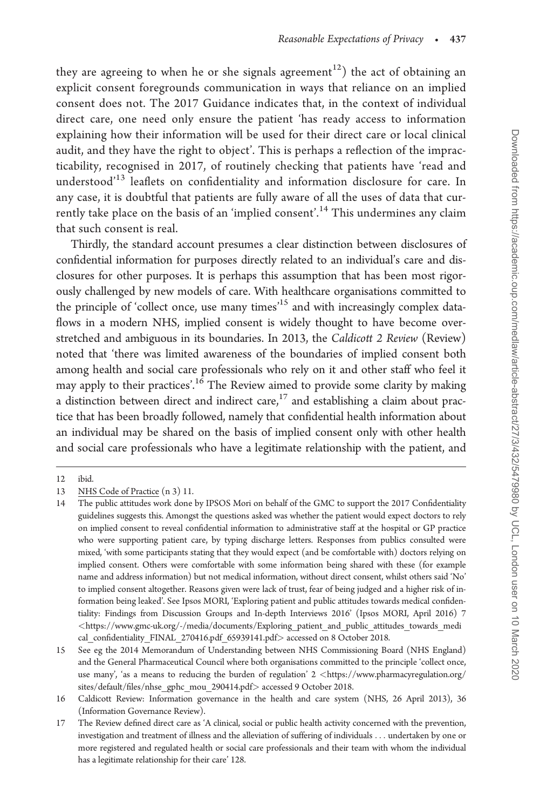they are agreeing to when he or she signals agreement<sup>12</sup>) the act of obtaining an explicit consent foregrounds communication in ways that reliance on an implied consent does not. The 2017 Guidance indicates that, in the context of individual direct care, one need only ensure the patient 'has ready access to information explaining how their information will be used for their direct care or local clinical audit, and they have the right to object'. This is perhaps a reflection of the impracticability, recognised in 2017, of routinely checking that patients have 'read and understood'<sup>13</sup> leaflets on confidentiality and information disclosure for care. In any case, it is doubtful that patients are fully aware of all the uses of data that currently take place on the basis of an 'implied consent'.<sup>14</sup> This undermines any claim that such consent is real.

Thirdly, the standard account presumes a clear distinction between disclosures of confidential information for purposes directly related to an individual's care and disclosures for other purposes. It is perhaps this assumption that has been most rigorously challenged by new models of care. With healthcare organisations committed to the principle of 'collect once, use many times'<sup>15</sup> and with increasingly complex dataflows in a modern NHS, implied consent is widely thought to have become overstretched and ambiguous in its boundaries. In 2013, the Caldicott 2 Review (Review) noted that 'there was limited awareness of the boundaries of implied consent both among health and social care professionals who rely on it and other staff who feel it may apply to their practices'.<sup>16</sup> The Review aimed to provide some clarity by making a distinction between direct and indirect care, $17$  and establishing a claim about practice that has been broadly followed, namely that confidential health information about an individual may be shared on the basis of implied consent only with other health and social care professionals who have a legitimate relationship with the patient, and

<sup>12</sup> ibid.

<sup>13</sup> NHS Code of Practice (n 3) 11.

<sup>14</sup> The public attitudes work done by IPSOS Mori on behalf of the GMC to support the 2017 Confidentiality guidelines suggests this. Amongst the questions asked was whether the patient would expect doctors to rely on implied consent to reveal confidential information to administrative staff at the hospital or GP practice who were supporting patient care, by typing discharge letters. Responses from publics consulted were mixed, 'with some participants stating that they would expect (and be comfortable with) doctors relying on implied consent. Others were comfortable with some information being shared with these (for example name and address information) but not medical information, without direct consent, whilst others said 'No' to implied consent altogether. Reasons given were lack of trust, fear of being judged and a higher risk of information being leaked'. See Ipsos MORI, 'Exploring patient and public attitudes towards medical confidentiality: Findings from Discussion Groups and In-depth Interviews 2016' (Ipsos MORI, April 2016) 7 <[https://www.gmc-uk.org/-/media/documents/Exploring\\_patient\\_and\\_public\\_attitudes\\_towards\\_medi](https://www.gmc-uk.org/-/media/documents/Exploring_patient_and_public_attitudes_towards_medical_confidentiality_FINAL_270416.pdf_65939141.pdf) [cal\\_confidentiality\\_FINAL\\_270416.pdf\\_65939141.pdf](https://www.gmc-uk.org/-/media/documents/Exploring_patient_and_public_attitudes_towards_medical_confidentiality_FINAL_270416.pdf_65939141.pdf)> accessed on 8 October 2018.

<sup>15</sup> See eg the 2014 Memorandum of Understanding between NHS Commissioning Board (NHS England) and the General Pharmaceutical Council where both organisations committed to the principle 'collect once, use many', 'as a means to reducing the burden of regulation'  $2 <$ [https://www.pharmacyregulation.org/](https://www.pharmacyregulation.org/sites/default/files/nhse_gphc_mou_290414.pdf) [sites/default/files/nhse\\_gphc\\_mou\\_290414.pdf](https://www.pharmacyregulation.org/sites/default/files/nhse_gphc_mou_290414.pdf)> accessed 9 October 2018.

<sup>16</sup> Caldicott Review: Information governance in the health and care system (NHS, 26 April 2013), 36 (Information Governance Review).

<sup>17</sup> The Review defined direct care as 'A clinical, social or public health activity concerned with the prevention, investigation and treatment of illness and the alleviation of suffering of individuals ... undertaken by one or more registered and regulated health or social care professionals and their team with whom the individual has a legitimate relationship for their care' 128.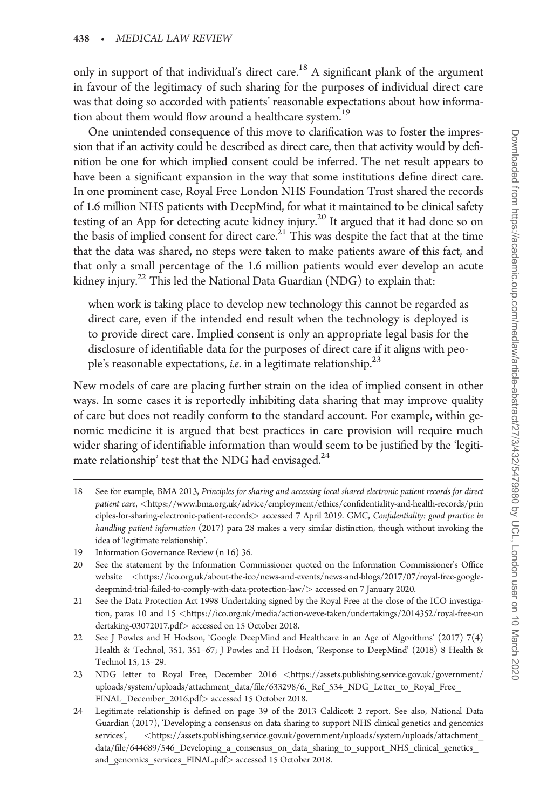only in support of that individual's direct care.<sup>18</sup> A significant plank of the argument in favour of the legitimacy of such sharing for the purposes of individual direct care was that doing so accorded with patients' reasonable expectations about how information about them would flow around a healthcare system.<sup>19</sup>

One unintended consequence of this move to clarification was to foster the impression that if an activity could be described as direct care, then that activity would by definition be one for which implied consent could be inferred. The net result appears to have been a significant expansion in the way that some institutions define direct care. In one prominent case, Royal Free London NHS Foundation Trust shared the records of 1.6 million NHS patients with DeepMind, for what it maintained to be clinical safety testing of an App for detecting acute kidney injury.20 It argued that it had done so on the basis of implied consent for direct care.<sup>21</sup> This was despite the fact that at the time that the data was shared, no steps were taken to make patients aware of this fact, and that only a small percentage of the 1.6 million patients would ever develop an acute kidney injury.<sup>22</sup> This led the National Data Guardian (NDG) to explain that:

when work is taking place to develop new technology this cannot be regarded as direct care, even if the intended end result when the technology is deployed is to provide direct care. Implied consent is only an appropriate legal basis for the disclosure of identifiable data for the purposes of direct care if it aligns with people's reasonable expectations, *i.e.* in a legitimate relationship.<sup>23</sup>

New models of care are placing further strain on the idea of implied consent in other ways. In some cases it is reportedly inhibiting data sharing that may improve quality of care but does not readily conform to the standard account. For example, within genomic medicine it is argued that best practices in care provision will require much wider sharing of identifiable information than would seem to be justified by the 'legitimate relationship' test that the NDG had envisaged.<sup>24</sup>

18 See for example, BMA 2013, Principles for sharing and accessing local shared electronic patient records for direct patient care, <[https://www.bma.org.uk/advice/employment/ethics/confidentiality-and-health-records/prin](https://www.bma.org.uk/advice/employment/ethics/confidentiality-and-health-records/principles-for-sharing-electronic-patient-records) [ciples-for-sharing-electronic-patient-records](https://www.bma.org.uk/advice/employment/ethics/confidentiality-and-health-records/principles-for-sharing-electronic-patient-records)> accessed 7 April 2019. GMC, Confidentiality: good practice in handling patient information (2017) para 28 makes a very similar distinction, though without invoking the idea of 'legitimate relationship'.

20 See the statement by the Information Commissioner quoted on the Information Commissioner's Office website <[https://ico.org.uk/about-the-ico/news-and-events/news-and-blogs/2017/07/royal-free-google](https://ico.org.uk/about-the-ico/news-and-events/news-and-blogs/2017/07/royal-free-google-deepmind-trial-failed-to-comply-with-data-protection-law/)[deepmind-trial-failed-to-comply-with-data-protection-law/](https://ico.org.uk/about-the-ico/news-and-events/news-and-blogs/2017/07/royal-free-google-deepmind-trial-failed-to-comply-with-data-protection-law/)> accessed on 7 January 2020.

<sup>19</sup> Information Governance Review (n 16) 36.

<sup>21</sup> See the Data Protection Act 1998 Undertaking signed by the Royal Free at the close of the ICO investigation, paras 10 and 15 <[https://ico.org.uk/media/action-weve-taken/undertakings/2014352/royal-free-un](https://ico.org.uk/media/action-weve-taken/undertakings/2014352/royal-free-undertaking-03072017.pdf) [dertaking-03072017.pdf](https://ico.org.uk/media/action-weve-taken/undertakings/2014352/royal-free-undertaking-03072017.pdf)> accessed on 15 October 2018.

<sup>22</sup> See J Powles and H Hodson, 'Google DeepMind and Healthcare in an Age of Algorithms' (2017) 7(4) Health & Technol, 351, 351–67; J Powles and H Hodson, 'Response to DeepMind' (2018) 8 Health & Technol 15, 15–29.

<sup>23</sup> NDG letter to Royal Free, December 2016 <[https://assets.publishing.service.gov.uk/government/](https://assets.publishing.service.gov.uk/government/uploads/system/uploads/attachment_data/file/633298/6._Ref_534_NDG_Letter_to_Royal_Free_FINAL_December_2016.pdf) uploads/system/uploads/attachment\_data/file/633298/6. Ref\_534\_NDG\_Letter\_to\_Royal\_Free [FINAL\\_December\\_2016.pdf](https://assets.publishing.service.gov.uk/government/uploads/system/uploads/attachment_data/file/633298/6._Ref_534_NDG_Letter_to_Royal_Free_FINAL_December_2016.pdf)> accessed 15 October 2018.

<sup>24</sup> Legitimate relationship is defined on page 39 of the 2013 Caldicott 2 report. See also, National Data Guardian (2017), 'Developing a consensus on data sharing to support NHS clinical genetics and genomics services', <https://assets.publishing.service.gov.uk/government/uploads/system/uploads/attachment data/file/644689/546 Developing a consensus on data sharing to support NHS clinical genetics and genomics services FINAL.pdf> accessed 15 October 2018.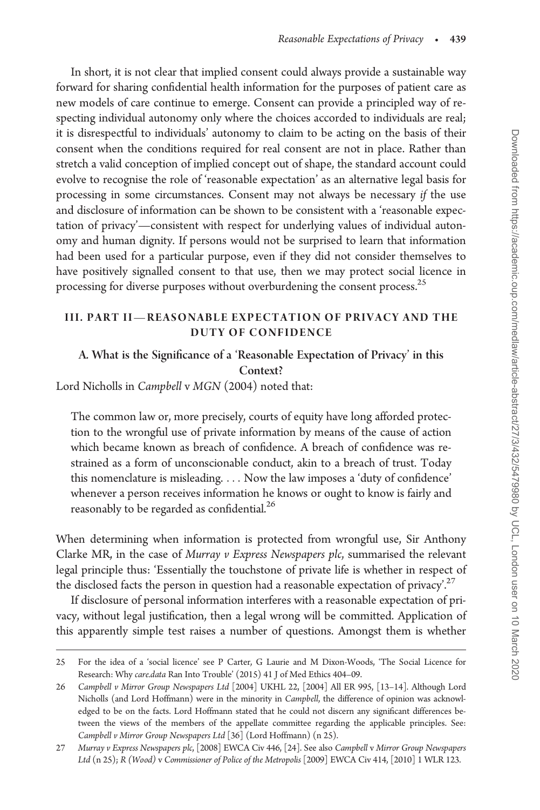In short, it is not clear that implied consent could always provide a sustainable way forward for sharing confidential health information for the purposes of patient care as new models of care continue to emerge. Consent can provide a principled way of respecting individual autonomy only where the choices accorded to individuals are real; it is disrespectful to individuals' autonomy to claim to be acting on the basis of their consent when the conditions required for real consent are not in place. Rather than stretch a valid conception of implied concept out of shape, the standard account could evolve to recognise the role of 'reasonable expectation' as an alternative legal basis for processing in some circumstances. Consent may not always be necessary if the use and disclosure of information can be shown to be consistent with a 'reasonable expectation of privacy'—consistent with respect for underlying values of individual autonomy and human dignity. If persons would not be surprised to learn that information had been used for a particular purpose, even if they did not consider themselves to have positively signalled consent to that use, then we may protect social licence in processing for diverse purposes without overburdening the consent process.25

# III. PART II—REASONABLE EXPECTATION OF PRIVACY AND THE DUTY OF CONFIDENCE

A. What is the Significance of a 'Reasonable Expectation of Privacy' in this Context?

Lord Nicholls in Campbell v MGN (2004) noted that:

The common law or, more precisely, courts of equity have long afforded protection to the wrongful use of private information by means of the cause of action which became known as breach of confidence. A breach of confidence was restrained as a form of unconscionable conduct, akin to a breach of trust. Today this nomenclature is misleading. ... Now the law imposes a 'duty of confidence' whenever a person receives information he knows or ought to know is fairly and reasonably to be regarded as confidential.<sup>26</sup>

When determining when information is protected from wrongful use, Sir Anthony Clarke MR, in the case of Murray v Express Newspapers plc, summarised the relevant legal principle thus: 'Essentially the touchstone of private life is whether in respect of the disclosed facts the person in question had a reasonable expectation of privacy.<sup>27</sup>

If disclosure of personal information interferes with a reasonable expectation of privacy, without legal justification, then a legal wrong will be committed. Application of this apparently simple test raises a number of questions. Amongst them is whether

<sup>25</sup> For the idea of a 'social licence' see P Carter, G Laurie and M Dixon-Woods, 'The Social Licence for Research: Why care.data Ran Into Trouble' (2015) 41 J of Med Ethics 404–09.

<sup>26</sup> Campbell v Mirror Group Newspapers Ltd [2004] UKHL 22, [2004] All ER 995, [13–14]. Although Lord Nicholls (and Lord Hoffmann) were in the minority in Campbell, the difference of opinion was acknowledged to be on the facts. Lord Hoffmann stated that he could not discern any significant differences between the views of the members of the appellate committee regarding the applicable principles. See: Campbell v Mirror Group Newspapers Ltd [36] (Lord Hoffmann) (n 25).

<sup>27</sup> Murray v Express Newspapers plc, [2008] EWCA Civ 446, [24]. See also Campbell v Mirror Group Newspapers Ltd (n 25); R (Wood) v Commissioner of Police of the Metropolis [2009] EWCA Civ 414, [2010] 1 WLR 123.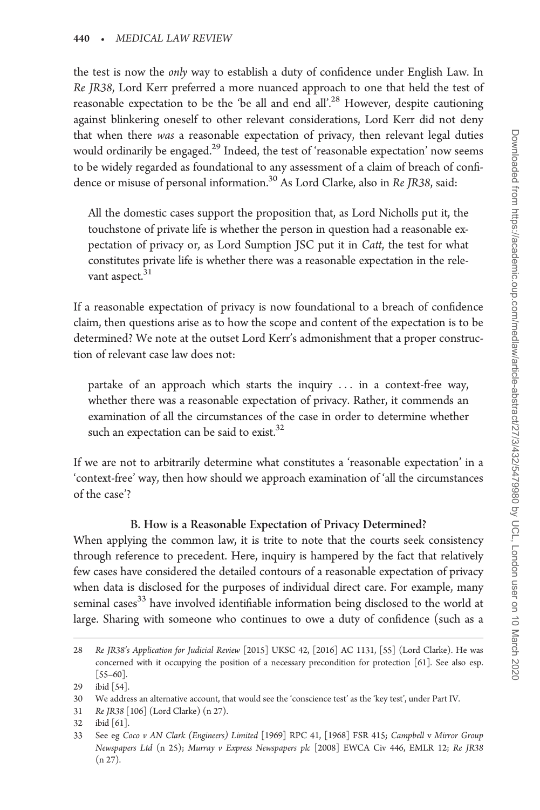the test is now the only way to establish a duty of confidence under English Law. In Re JR38, Lord Kerr preferred a more nuanced approach to one that held the test of reasonable expectation to be the 'be all and end all'.28 However, despite cautioning against blinkering oneself to other relevant considerations, Lord Kerr did not deny that when there was a reasonable expectation of privacy, then relevant legal duties would ordinarily be engaged.<sup>29</sup> Indeed, the test of 'reasonable expectation' now seems to be widely regarded as foundational to any assessment of a claim of breach of confidence or misuse of personal information.<sup>30</sup> As Lord Clarke, also in Re JR38, said:

All the domestic cases support the proposition that, as Lord Nicholls put it, the touchstone of private life is whether the person in question had a reasonable expectation of privacy or, as Lord Sumption JSC put it in Catt, the test for what constitutes private life is whether there was a reasonable expectation in the relevant aspect.<sup>31</sup>

If a reasonable expectation of privacy is now foundational to a breach of confidence claim, then questions arise as to how the scope and content of the expectation is to be determined? We note at the outset Lord Kerr's admonishment that a proper construction of relevant case law does not:

partake of an approach which starts the inquiry ... in a context-free way, whether there was a reasonable expectation of privacy. Rather, it commends an examination of all the circumstances of the case in order to determine whether such an expectation can be said to exist.<sup>32</sup>

If we are not to arbitrarily determine what constitutes a 'reasonable expectation' in a 'context-free' way, then how should we approach examination of 'all the circumstances of the case'?

# B. How is a Reasonable Expectation of Privacy Determined?

When applying the common law, it is trite to note that the courts seek consistency through reference to precedent. Here, inquiry is hampered by the fact that relatively few cases have considered the detailed contours of a reasonable expectation of privacy when data is disclosed for the purposes of individual direct care. For example, many seminal cases<sup>33</sup> have involved identifiable information being disclosed to the world at large. Sharing with someone who continues to owe a duty of confidence (such as a

<sup>28</sup> Re JR38's Application for Judicial Review [2015] UKSC 42, [2016] AC 1131, [55] (Lord Clarke). He was concerned with it occupying the position of a necessary precondition for protection [61]. See also esp. [55–60].

<sup>29</sup> ibid [54].

<sup>30</sup> We address an alternative account, that would see the 'conscience test' as the 'key test', under Part IV.

<sup>31</sup> Re JR38 [106] (Lord Clarke) (n 27).

<sup>32</sup> ibid [61].

<sup>33</sup> See eg Coco v AN Clark (Engineers) Limited [1969] RPC 41, [1968] FSR 415; Campbell v Mirror Group Newspapers Ltd (n 25); Murray v Express Newspapers plc [2008] EWCA Civ 446, EMLR 12; Re JR38 (n 27).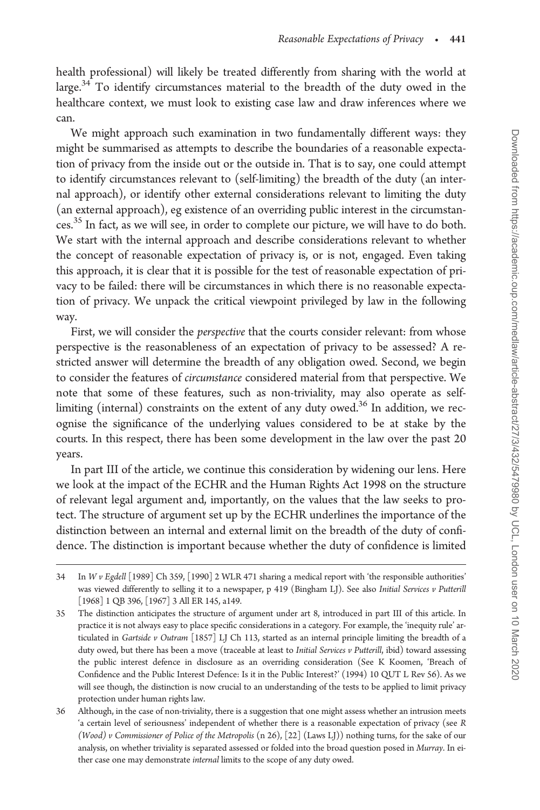health professional) will likely be treated differently from sharing with the world at large.<sup>34</sup> To identify circumstances material to the breadth of the duty owed in the healthcare context, we must look to existing case law and draw inferences where we can.

We might approach such examination in two fundamentally different ways: they might be summarised as attempts to describe the boundaries of a reasonable expectation of privacy from the inside out or the outside in. That is to say, one could attempt to identify circumstances relevant to (self-limiting) the breadth of the duty (an internal approach), or identify other external considerations relevant to limiting the duty (an external approach), eg existence of an overriding public interest in the circumstances.35 In fact, as we will see, in order to complete our picture, we will have to do both. We start with the internal approach and describe considerations relevant to whether the concept of reasonable expectation of privacy is, or is not, engaged. Even taking this approach, it is clear that it is possible for the test of reasonable expectation of privacy to be failed: there will be circumstances in which there is no reasonable expectation of privacy. We unpack the critical viewpoint privileged by law in the following way.

First, we will consider the *perspective* that the courts consider relevant: from whose perspective is the reasonableness of an expectation of privacy to be assessed? A restricted answer will determine the breadth of any obligation owed. Second, we begin to consider the features of circumstance considered material from that perspective. We note that some of these features, such as non-triviality, may also operate as selflimiting (internal) constraints on the extent of any duty owed.<sup>36</sup> In addition, we recognise the significance of the underlying values considered to be at stake by the courts. In this respect, there has been some development in the law over the past 20 years.

In part III of the article, we continue this consideration by widening our lens. Here we look at the impact of the ECHR and the Human Rights Act 1998 on the structure of relevant legal argument and, importantly, on the values that the law seeks to protect. The structure of argument set up by the ECHR underlines the importance of the distinction between an internal and external limit on the breadth of the duty of confidence. The distinction is important because whether the duty of confidence is limited

<sup>34</sup> In W v Egdell [1989] Ch 359, [1990] 2 WLR 471 sharing a medical report with 'the responsible authorities' was viewed differently to selling it to a newspaper, p 419 (Bingham LJ). See also Initial Services v Putterill [1968] 1 QB 396, [1967] 3 All ER 145, a149.

<sup>35</sup> The distinction anticipates the structure of argument under art 8, introduced in part III of this article. In practice it is not always easy to place specific considerations in a category. For example, the 'inequity rule' articulated in Gartside v Outram [1857] LJ Ch 113, started as an internal principle limiting the breadth of a duty owed, but there has been a move (traceable at least to Initial Services v Putterill, ibid) toward assessing the public interest defence in disclosure as an overriding consideration (See K Koomen, 'Breach of Confidence and the Public Interest Defence: Is it in the Public Interest?' (1994) 10 QUT L Rev 56). As we will see though, the distinction is now crucial to an understanding of the tests to be applied to limit privacy protection under human rights law.

<sup>36</sup> Although, in the case of non-triviality, there is a suggestion that one might assess whether an intrusion meets 'a certain level of seriousness' independent of whether there is a reasonable expectation of privacy (see R (Wood) v Commissioner of Police of the Metropolis (n 26), [22] (Laws LJ)) nothing turns, for the sake of our analysis, on whether triviality is separated assessed or folded into the broad question posed in Murray. In either case one may demonstrate internal limits to the scope of any duty owed.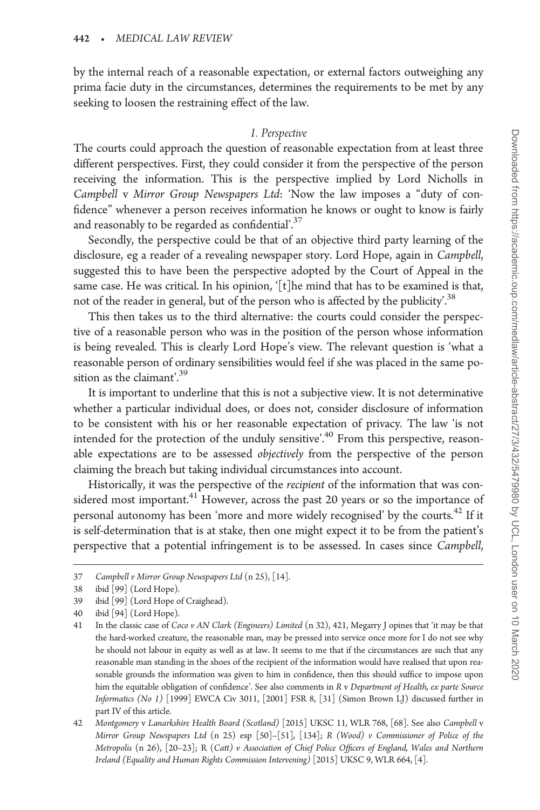by the internal reach of a reasonable expectation, or external factors outweighing any prima facie duty in the circumstances, determines the requirements to be met by any seeking to loosen the restraining effect of the law.

#### 1. Perspective

The courts could approach the question of reasonable expectation from at least three different perspectives. First, they could consider it from the perspective of the person receiving the information. This is the perspective implied by Lord Nicholls in Campbell v Mirror Group Newspapers Ltd: 'Now the law imposes a "duty of confidence" whenever a person receives information he knows or ought to know is fairly and reasonably to be regarded as confidential'.<sup>37</sup>

Secondly, the perspective could be that of an objective third party learning of the disclosure, eg a reader of a revealing newspaper story. Lord Hope, again in Campbell, suggested this to have been the perspective adopted by the Court of Appeal in the same case. He was critical. In his opinion, '[t]he mind that has to be examined is that, not of the reader in general, but of the person who is affected by the publicity'.<sup>38</sup>

This then takes us to the third alternative: the courts could consider the perspective of a reasonable person who was in the position of the person whose information is being revealed. This is clearly Lord Hope's view. The relevant question is 'what a reasonable person of ordinary sensibilities would feel if she was placed in the same position as the claimant'. $39$ 

It is important to underline that this is not a subjective view. It is not determinative whether a particular individual does, or does not, consider disclosure of information to be consistent with his or her reasonable expectation of privacy. The law 'is not intended for the protection of the unduly sensitive'.<sup>40</sup> From this perspective, reasonable expectations are to be assessed objectively from the perspective of the person claiming the breach but taking individual circumstances into account.

Historically, it was the perspective of the recipient of the information that was considered most important.<sup>41</sup> However, across the past 20 years or so the importance of personal autonomy has been 'more and more widely recognised' by the courts.<sup>42</sup> If it is self-determination that is at stake, then one might expect it to be from the patient's perspective that a potential infringement is to be assessed. In cases since Campbell,

<sup>37</sup> Campbell v Mirror Group Newspapers Ltd (n 25), [14].

<sup>38</sup> ibid [99] (Lord Hope).

<sup>39</sup> ibid [99] (Lord Hope of Craighead).

<sup>40</sup> ibid [94] (Lord Hope).

<sup>41</sup> In the classic case of Coco v AN Clark (Engineers) Limited  $(n 32)$ , 421, Megarry J opines that 'it may be that the hard-worked creature, the reasonable man, may be pressed into service once more for I do not see why he should not labour in equity as well as at law. It seems to me that if the circumstances are such that any reasonable man standing in the shoes of the recipient of the information would have realised that upon reasonable grounds the information was given to him in confidence, then this should suffice to impose upon him the equitable obligation of confidence'. See also comments in R v Department of Health, ex parte Source Informatics (No 1) [1999] EWCA Civ 3011, [2001] FSR 8, [31] (Simon Brown LJ) discussed further in part IV of this article.

<sup>42</sup> Montgomery v Lanarkshire Health Board (Scotland) [2015] UKSC 11, WLR 768, [68]. See also Campbell v Mirror Group Newspapers Ltd (n 25) esp [50]–[51], [134]; R (Wood) v Commissioner of Police of the Metropolis (n 26), [20–23]; R (Catt) v Association of Chief Police Officers of England, Wales and Northern Ireland (Equality and Human Rights Commission Intervening) [2015] UKSC 9, WLR 664, [4].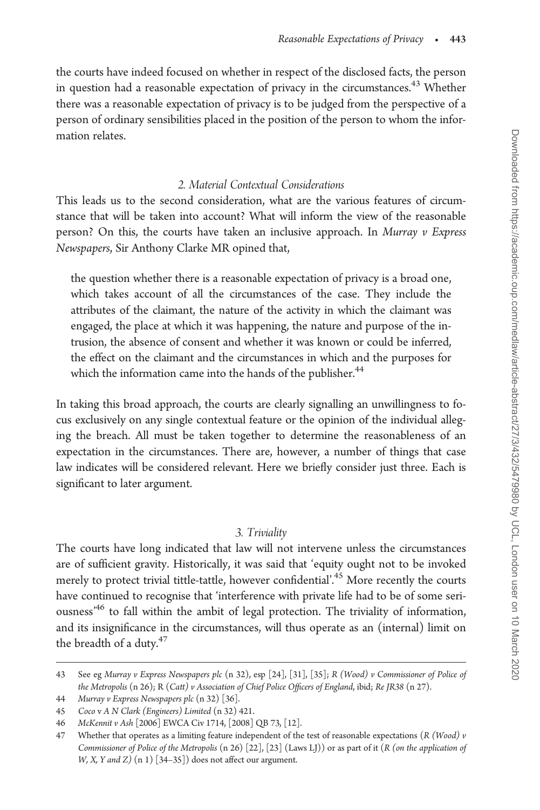the courts have indeed focused on whether in respect of the disclosed facts, the person in question had a reasonable expectation of privacy in the circumstances.<sup>43</sup> Whether there was a reasonable expectation of privacy is to be judged from the perspective of a person of ordinary sensibilities placed in the position of the person to whom the information relates.

# 2. Material Contextual Considerations

This leads us to the second consideration, what are the various features of circumstance that will be taken into account? What will inform the view of the reasonable person? On this, the courts have taken an inclusive approach. In Murray v Express Newspapers, Sir Anthony Clarke MR opined that,

the question whether there is a reasonable expectation of privacy is a broad one, which takes account of all the circumstances of the case. They include the attributes of the claimant, the nature of the activity in which the claimant was engaged, the place at which it was happening, the nature and purpose of the intrusion, the absence of consent and whether it was known or could be inferred, the effect on the claimant and the circumstances in which and the purposes for which the information came into the hands of the publisher.<sup>44</sup>

In taking this broad approach, the courts are clearly signalling an unwillingness to focus exclusively on any single contextual feature or the opinion of the individual alleging the breach. All must be taken together to determine the reasonableness of an expectation in the circumstances. There are, however, a number of things that case law indicates will be considered relevant. Here we briefly consider just three. Each is significant to later argument.

# 3. Triviality

The courts have long indicated that law will not intervene unless the circumstances are of sufficient gravity. Historically, it was said that 'equity ought not to be invoked merely to protect trivial tittle-tattle, however confidential'.45 More recently the courts have continued to recognise that 'interference with private life had to be of some seriousness'46 to fall within the ambit of legal protection. The triviality of information, and its insignificance in the circumstances, will thus operate as an (internal) limit on the breadth of a duty.<sup>47</sup>

<sup>43</sup> See eg Murray v Express Newspapers plc (n 32), esp [24], [31], [35]; R (Wood) v Commissioner of Police of the Metropolis (n 26); R (Catt) v Association of Chief Police Officers of England, ibid; Re JR38 (n 27).

<sup>44</sup> Murray v Express Newspapers plc (n 32) [36].

<sup>45</sup> Coco v A N Clark (Engineers) Limited (n 32) 421.

<sup>46</sup> McKennit v Ash [2006] EWCA Civ 1714, [2008] QB 73, [12].

<sup>47</sup> Whether that operates as a limiting feature independent of the test of reasonable expectations  $(R (Wood) v)$ Commissioner of Police of the Metropolis (n 26) [22], [23] (Laws LJ)) or as part of it (R (on the application of  $W, X, Y$  and  $Z$ ) (n 1) [34–35]) does not affect our argument.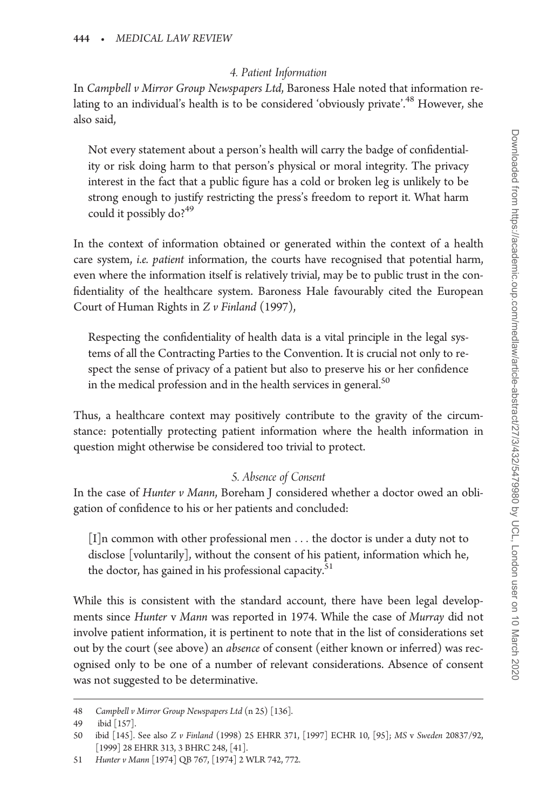## 4. Patient Information

In Campbell v Mirror Group Newspapers Ltd, Baroness Hale noted that information relating to an individual's health is to be considered 'obviously private'.<sup>48</sup> However, she also said,

Not every statement about a person's health will carry the badge of confidentiality or risk doing harm to that person's physical or moral integrity. The privacy interest in the fact that a public figure has a cold or broken leg is unlikely to be strong enough to justify restricting the press's freedom to report it. What harm could it possibly do?<sup>49</sup>

In the context of information obtained or generated within the context of a health care system, *i.e. patient* information, the courts have recognised that potential harm, even where the information itself is relatively trivial, may be to public trust in the confidentiality of the healthcare system. Baroness Hale favourably cited the European Court of Human Rights in  $Z \nu$  Finland (1997),

Respecting the confidentiality of health data is a vital principle in the legal systems of all the Contracting Parties to the Convention. It is crucial not only to respect the sense of privacy of a patient but also to preserve his or her confidence in the medical profession and in the health services in general.<sup>50</sup>

Thus, a healthcare context may positively contribute to the gravity of the circumstance: potentially protecting patient information where the health information in question might otherwise be considered too trivial to protect.

## 5. Absence of Consent

In the case of Hunter v Mann, Boreham J considered whether a doctor owed an obligation of confidence to his or her patients and concluded:

[I]n common with other professional men ... the doctor is under a duty not to disclose [voluntarily], without the consent of his patient, information which he, the doctor, has gained in his professional capacity.<sup>51</sup>

While this is consistent with the standard account, there have been legal developments since Hunter v Mann was reported in 1974. While the case of Murray did not involve patient information, it is pertinent to note that in the list of considerations set out by the court (see above) an absence of consent (either known or inferred) was recognised only to be one of a number of relevant considerations. Absence of consent was not suggested to be determinative.

<sup>48</sup> Campbell v Mirror Group Newspapers Ltd (n 25) [136].

<sup>49</sup> ibid [157].

<sup>50</sup> ibid [145]. See also Z v Finland (1998) 25 EHRR 371, [1997] ECHR 10, [95]; MS v Sweden 20837/92, [1999] 28 EHRR 313, 3 BHRC 248, [41].

<sup>51</sup> Hunter v Mann [1974] QB 767, [1974] 2 WLR 742, 772.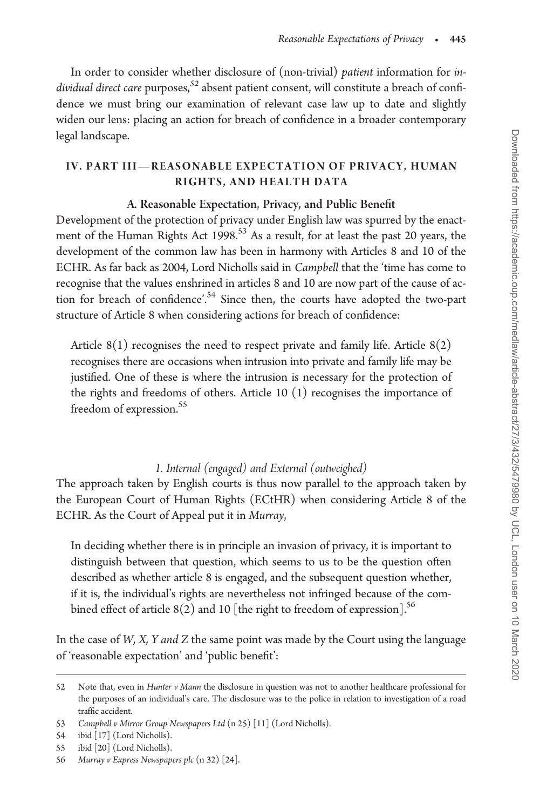In order to consider whether disclosure of (non-trivial) patient information for individual direct care purposes,  $52$  absent patient consent, will constitute a breach of confidence we must bring our examination of relevant case law up to date and slightly widen our lens: placing an action for breach of confidence in a broader contemporary legal landscape.

# IV. PART III—REASONABLE EXPECTATION OF PRIVACY, HUMAN RIGHTS, AND HEALTH DATA

# A. Reasonable Expectation, Privacy, and Public Benefit

Development of the protection of privacy under English law was spurred by the enactment of the Human Rights Act 1998.<sup>53</sup> As a result, for at least the past 20 years, the development of the common law has been in harmony with Articles 8 and 10 of the ECHR. As far back as 2004, Lord Nicholls said in Campbell that the 'time has come to recognise that the values enshrined in articles 8 and 10 are now part of the cause of action for breach of confidence'.<sup>54</sup> Since then, the courts have adopted the two-part structure of Article 8 when considering actions for breach of confidence:

Article  $8(1)$  recognises the need to respect private and family life. Article  $8(2)$ recognises there are occasions when intrusion into private and family life may be justified. One of these is where the intrusion is necessary for the protection of the rights and freedoms of others. Article 10 (1) recognises the importance of freedom of expression.<sup>55</sup>

# 1. Internal (engaged) and External (outweighed)

The approach taken by English courts is thus now parallel to the approach taken by the European Court of Human Rights (ECtHR) when considering Article 8 of the ECHR. As the Court of Appeal put it in Murray,

In deciding whether there is in principle an invasion of privacy, it is important to distinguish between that question, which seems to us to be the question often described as whether article 8 is engaged, and the subsequent question whether, if it is, the individual's rights are nevertheless not infringed because of the combined effect of article  $8(2)$  and 10 [the right to freedom of expression].<sup>56</sup>

In the case of  $W$ ,  $X$ ,  $Y$  and  $Z$  the same point was made by the Court using the language of 'reasonable expectation' and 'public benefit':

<sup>52</sup> Note that, even in Hunter v Mann the disclosure in question was not to another healthcare professional for the purposes of an individual's care. The disclosure was to the police in relation to investigation of a road traffic accident.

<sup>53</sup> Campbell v Mirror Group Newspapers Ltd (n 25) [11] (Lord Nicholls).

<sup>54</sup> ibid [17] (Lord Nicholls).

<sup>55</sup> ibid [20] (Lord Nicholls).

<sup>56</sup> Murray v Express Newspapers plc (n 32) [24].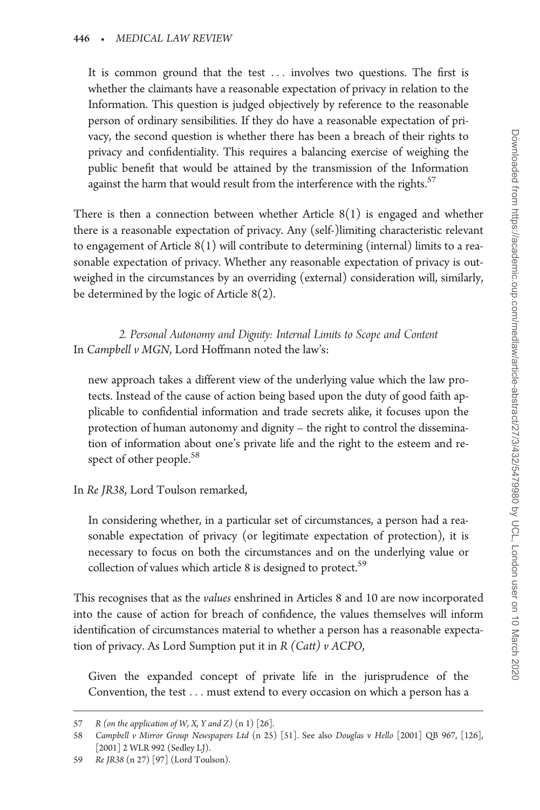It is common ground that the test ... involves two questions. The first is whether the claimants have a reasonable expectation of privacy in relation to the Information. This question is judged objectively by reference to the reasonable person of ordinary sensibilities. If they do have a reasonable expectation of privacy, the second question is whether there has been a breach of their rights to privacy and confidentiality. This requires a balancing exercise of weighing the public benefit that would be attained by the transmission of the Information against the harm that would result from the interference with the rights. $57$ 

There is then a connection between whether Article  $8(1)$  is engaged and whether there is a reasonable expectation of privacy. Any (self-)limiting characteristic relevant to engagement of Article  $8(1)$  will contribute to determining (internal) limits to a reasonable expectation of privacy. Whether any reasonable expectation of privacy is outweighed in the circumstances by an overriding (external) consideration will, similarly, be determined by the logic of Article 8(2).

2. Personal Autonomy and Dignity: Internal Limits to Scope and Content In Campbell v MGN, Lord Hoffmann noted the law's:

new approach takes a different view of the underlying value which the law protects. Instead of the cause of action being based upon the duty of good faith applicable to confidential information and trade secrets alike, it focuses upon the protection of human autonomy and dignity – the right to control the dissemination of information about one's private life and the right to the esteem and respect of other people.<sup>58</sup>

In Re JR38, Lord Toulson remarked,

In considering whether, in a particular set of circumstances, a person had a reasonable expectation of privacy (or legitimate expectation of protection), it is necessary to focus on both the circumstances and on the underlying value or collection of values which article 8 is designed to protect.<sup>59</sup>

This recognises that as the values enshrined in Articles 8 and 10 are now incorporated into the cause of action for breach of confidence, the values themselves will inform identification of circumstances material to whether a person has a reasonable expectation of privacy. As Lord Sumption put it in  $R$  (Catt)  $\nu$  ACPO,

Given the expanded concept of private life in the jurisprudence of the Convention, the test ... must extend to every occasion on which a person has a

<sup>57</sup> R (on the application of W, X, Y and Z)  $(n 1)$  [26].

<sup>58</sup> Campbell v Mirror Group Newspapers Ltd (n 25) [51]. See also Douglas v Hello [2001] QB 967, [126], [2001] 2 WLR 992 (Sedley LJ).

<sup>59</sup> Re JR38 (n 27) [97] (Lord Toulson).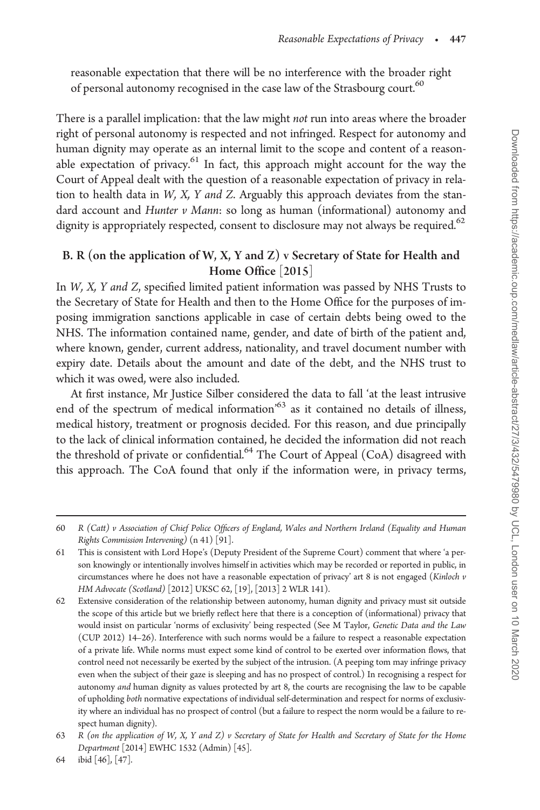reasonable expectation that there will be no interference with the broader right of personal autonomy recognised in the case law of the Strasbourg court.<sup>60</sup>

There is a parallel implication: that the law might not run into areas where the broader right of personal autonomy is respected and not infringed. Respect for autonomy and human dignity may operate as an internal limit to the scope and content of a reasonable expectation of privacy.<sup>61</sup> In fact, this approach might account for the way the Court of Appeal dealt with the question of a reasonable expectation of privacy in relation to health data in W, X, Y and Z. Arguably this approach deviates from the standard account and Hunter v Mann: so long as human (informational) autonomy and dignity is appropriately respected, consent to disclosure may not always be required. $62$ 

# B. R (on the application of W, X, Y and Z) v Secretary of State for Health and Home Office [2015]

In W, X, Y and Z, specified limited patient information was passed by NHS Trusts to the Secretary of State for Health and then to the Home Office for the purposes of imposing immigration sanctions applicable in case of certain debts being owed to the NHS. The information contained name, gender, and date of birth of the patient and, where known, gender, current address, nationality, and travel document number with expiry date. Details about the amount and date of the debt, and the NHS trust to which it was owed, were also included.

At first instance, Mr Justice Silber considered the data to fall 'at the least intrusive end of the spectrum of medical information<sup>63</sup> as it contained no details of illness, medical history, treatment or prognosis decided. For this reason, and due principally to the lack of clinical information contained, he decided the information did not reach the threshold of private or confidential.<sup>64</sup> The Court of Appeal (CoA) disagreed with this approach. The CoA found that only if the information were, in privacy terms,

<sup>60</sup> R (Catt) v Association of Chief Police Officers of England, Wales and Northern Ireland (Equality and Human Rights Commission Intervening) (n 41) [91].

<sup>61</sup> This is consistent with Lord Hope's (Deputy President of the Supreme Court) comment that where 'a person knowingly or intentionally involves himself in activities which may be recorded or reported in public, in circumstances where he does not have a reasonable expectation of privacy' art 8 is not engaged (Kinloch v HM Advocate (Scotland) [2012] UKSC 62, [19], [2013] 2 WLR 141).

<sup>62</sup> Extensive consideration of the relationship between autonomy, human dignity and privacy must sit outside the scope of this article but we briefly reflect here that there is a conception of (informational) privacy that would insist on particular 'norms of exclusivity' being respected (See M Taylor, Genetic Data and the Law (CUP 2012) 14–26). Interference with such norms would be a failure to respect a reasonable expectation of a private life. While norms must expect some kind of control to be exerted over information flows, that control need not necessarily be exerted by the subject of the intrusion. (A peeping tom may infringe privacy even when the subject of their gaze is sleeping and has no prospect of control.) In recognising a respect for autonomy and human dignity as values protected by art 8, the courts are recognising the law to be capable of upholding both normative expectations of individual self-determination and respect for norms of exclusivity where an individual has no prospect of control (but a failure to respect the norm would be a failure to respect human dignity).

<sup>63</sup> R (on the application of W, X, Y and Z) v Secretary of State for Health and Secretary of State for the Home Department [2014] EWHC 1532 (Admin) [45].

<sup>64</sup> ibid [46], [47].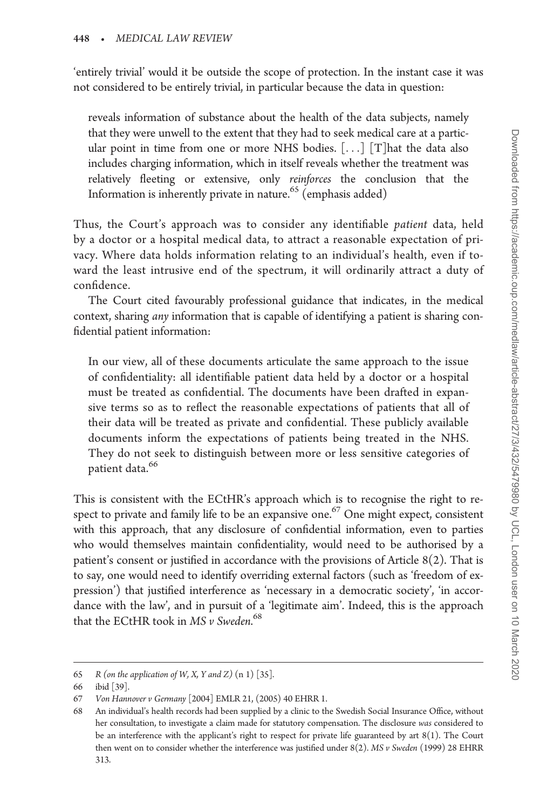'entirely trivial' would it be outside the scope of protection. In the instant case it was not considered to be entirely trivial, in particular because the data in question:

reveals information of substance about the health of the data subjects, namely that they were unwell to the extent that they had to seek medical care at a particular point in time from one or more NHS bodies. [...] [T]hat the data also includes charging information, which in itself reveals whether the treatment was relatively fleeting or extensive, only reinforces the conclusion that the Information is inherently private in nature.65 (emphasis added)

Thus, the Court's approach was to consider any identifiable patient data, held by a doctor or a hospital medical data, to attract a reasonable expectation of privacy. Where data holds information relating to an individual's health, even if toward the least intrusive end of the spectrum, it will ordinarily attract a duty of confidence.

The Court cited favourably professional guidance that indicates, in the medical context, sharing any information that is capable of identifying a patient is sharing confidential patient information:

In our view, all of these documents articulate the same approach to the issue of confidentiality: all identifiable patient data held by a doctor or a hospital must be treated as confidential. The documents have been drafted in expansive terms so as to reflect the reasonable expectations of patients that all of their data will be treated as private and confidential. These publicly available documents inform the expectations of patients being treated in the NHS. They do not seek to distinguish between more or less sensitive categories of patient data.<sup>66</sup>

This is consistent with the ECtHR's approach which is to recognise the right to respect to private and family life to be an expansive one.<sup>67</sup> One might expect, consistent with this approach, that any disclosure of confidential information, even to parties who would themselves maintain confidentiality, would need to be authorised by a patient's consent or justified in accordance with the provisions of Article  $8(2)$ . That is to say, one would need to identify overriding external factors (such as 'freedom of expression') that justified interference as 'necessary in a democratic society', 'in accordance with the law', and in pursuit of a 'legitimate aim'. Indeed, this is the approach that the ECtHR took in MS  $\nu$  Sweden.<sup>68</sup>

<sup>65</sup> R (on the application of W, X, Y and Z)  $(n 1)$  [35].

<sup>66</sup> ibid [39].

<sup>67</sup> Von Hannover v Germany [2004] EMLR 21, (2005) 40 EHRR 1.

<sup>68</sup> An individual's health records had been supplied by a clinic to the Swedish Social Insurance Office, without her consultation, to investigate a claim made for statutory compensation. The disclosure was considered to be an interference with the applicant's right to respect for private life guaranteed by art 8(1). The Court then went on to consider whether the interference was justified under  $8(2)$ . MS v Sweden (1999) 28 EHRR 313.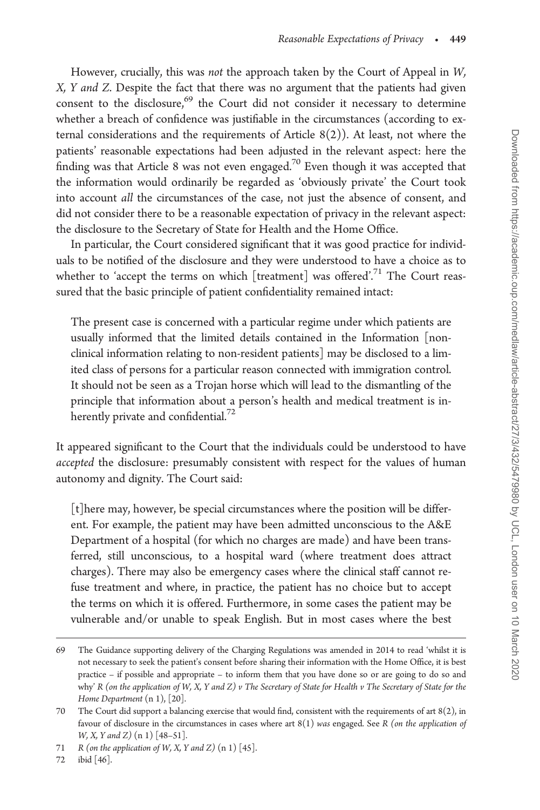However, crucially, this was not the approach taken by the Court of Appeal in W, X, Y and Z. Despite the fact that there was no argument that the patients had given consent to the disclosure, $69$  the Court did not consider it necessary to determine whether a breach of confidence was justifiable in the circumstances (according to external considerations and the requirements of Article  $8(2)$ ). At least, not where the patients' reasonable expectations had been adjusted in the relevant aspect: here the finding was that Article 8 was not even engaged.<sup>70</sup> Even though it was accepted that the information would ordinarily be regarded as 'obviously private' the Court took into account all the circumstances of the case, not just the absence of consent, and did not consider there to be a reasonable expectation of privacy in the relevant aspect: the disclosure to the Secretary of State for Health and the Home Office.

In particular, the Court considered significant that it was good practice for individuals to be notified of the disclosure and they were understood to have a choice as to whether to 'accept the terms on which [treatment] was offered'.<sup>71</sup> The Court reassured that the basic principle of patient confidentiality remained intact:

The present case is concerned with a particular regime under which patients are usually informed that the limited details contained in the Information [nonclinical information relating to non-resident patients] may be disclosed to a limited class of persons for a particular reason connected with immigration control. It should not be seen as a Trojan horse which will lead to the dismantling of the principle that information about a person's health and medical treatment is inherently private and confidential.<sup>72</sup>

It appeared significant to the Court that the individuals could be understood to have accepted the disclosure: presumably consistent with respect for the values of human autonomy and dignity. The Court said:

[t]here may, however, be special circumstances where the position will be different. For example, the patient may have been admitted unconscious to the A&E Department of a hospital (for which no charges are made) and have been transferred, still unconscious, to a hospital ward (where treatment does attract charges). There may also be emergency cases where the clinical staff cannot refuse treatment and where, in practice, the patient has no choice but to accept the terms on which it is offered. Furthermore, in some cases the patient may be vulnerable and/or unable to speak English. But in most cases where the best

72 ibid [46].

<sup>69</sup> The Guidance supporting delivery of the Charging Regulations was amended in 2014 to read 'whilst it is not necessary to seek the patient's consent before sharing their information with the Home Office, it is best practice – if possible and appropriate – to inform them that you have done so or are going to do so and why' R (on the application of W, X, Y and Z)  $\nu$  The Secretary of State for Health  $\nu$  The Secretary of State for the Home Department (n 1), [20].

<sup>70</sup> The Court did support a balancing exercise that would find, consistent with the requirements of art 8(2), in favour of disclosure in the circumstances in cases where art  $8(1)$  was engaged. See R (on the application of W, X, Y and Z) (n 1) [48-51].

<sup>71</sup> R (on the application of W, X, Y and Z)  $(n 1)$  [45].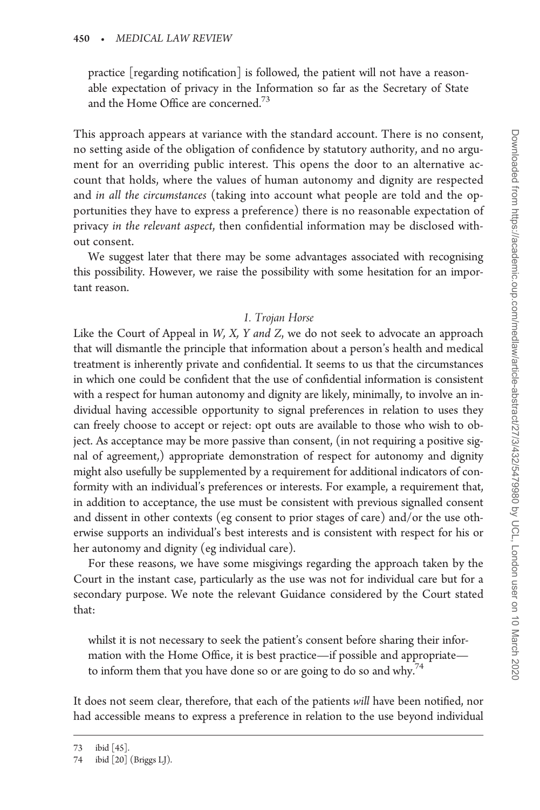practice [regarding notification] is followed, the patient will not have a reasonable expectation of privacy in the Information so far as the Secretary of State and the Home Office are concerned.<sup>73</sup>

This approach appears at variance with the standard account. There is no consent, no setting aside of the obligation of confidence by statutory authority, and no argument for an overriding public interest. This opens the door to an alternative account that holds, where the values of human autonomy and dignity are respected and in all the circumstances (taking into account what people are told and the opportunities they have to express a preference) there is no reasonable expectation of privacy in the relevant aspect, then confidential information may be disclosed without consent.

We suggest later that there may be some advantages associated with recognising this possibility. However, we raise the possibility with some hesitation for an important reason.

## 1. Trojan Horse

Like the Court of Appeal in  $W$ ,  $X$ ,  $Y$  and  $Z$ , we do not seek to advocate an approach that will dismantle the principle that information about a person's health and medical treatment is inherently private and confidential. It seems to us that the circumstances in which one could be confident that the use of confidential information is consistent with a respect for human autonomy and dignity are likely, minimally, to involve an individual having accessible opportunity to signal preferences in relation to uses they can freely choose to accept or reject: opt outs are available to those who wish to object. As acceptance may be more passive than consent, (in not requiring a positive signal of agreement,) appropriate demonstration of respect for autonomy and dignity might also usefully be supplemented by a requirement for additional indicators of conformity with an individual's preferences or interests. For example, a requirement that, in addition to acceptance, the use must be consistent with previous signalled consent and dissent in other contexts (eg consent to prior stages of care) and/or the use otherwise supports an individual's best interests and is consistent with respect for his or her autonomy and dignity (eg individual care).

For these reasons, we have some misgivings regarding the approach taken by the Court in the instant case, particularly as the use was not for individual care but for a secondary purpose. We note the relevant Guidance considered by the Court stated that:

whilst it is not necessary to seek the patient's consent before sharing their information with the Home Office, it is best practice—if possible and appropriate to inform them that you have done so or are going to do so and why.<sup>74</sup>

It does not seem clear, therefore, that each of the patients will have been notified, nor had accessible means to express a preference in relation to the use beyond individual

<sup>73</sup> ibid [45].

<sup>74</sup> ibid [20] (Briggs LJ).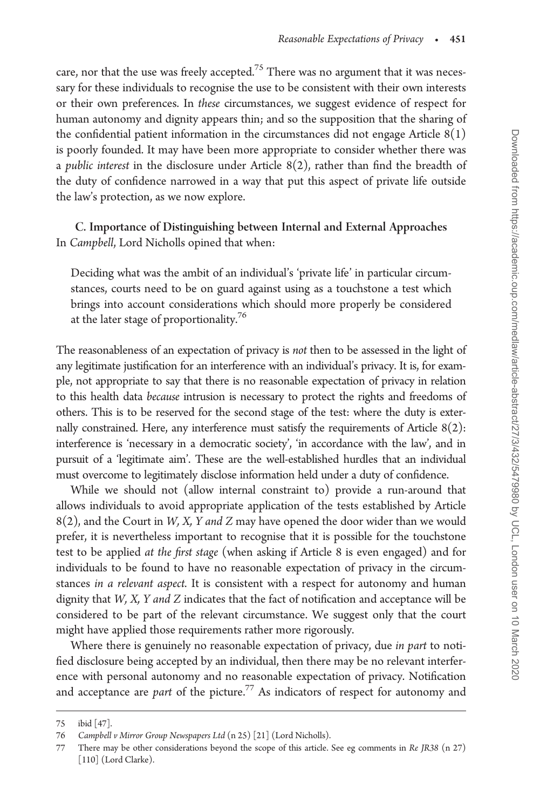care, nor that the use was freely accepted.<sup>75</sup> There was no argument that it was necessary for these individuals to recognise the use to be consistent with their own interests or their own preferences. In these circumstances, we suggest evidence of respect for human autonomy and dignity appears thin; and so the supposition that the sharing of the confidential patient information in the circumstances did not engage Article  $8(1)$ is poorly founded. It may have been more appropriate to consider whether there was a public interest in the disclosure under Article  $8(2)$ , rather than find the breadth of the duty of confidence narrowed in a way that put this aspect of private life outside the law's protection, as we now explore.

# C. Importance of Distinguishing between Internal and External Approaches In Campbell, Lord Nicholls opined that when:

Deciding what was the ambit of an individual's 'private life' in particular circumstances, courts need to be on guard against using as a touchstone a test which brings into account considerations which should more properly be considered at the later stage of proportionality.<sup>76</sup>

The reasonableness of an expectation of privacy is not then to be assessed in the light of any legitimate justification for an interference with an individual's privacy. It is, for example, not appropriate to say that there is no reasonable expectation of privacy in relation to this health data because intrusion is necessary to protect the rights and freedoms of others. This is to be reserved for the second stage of the test: where the duty is externally constrained. Here, any interference must satisfy the requirements of Article 8(2): interference is 'necessary in a democratic society', 'in accordance with the law', and in pursuit of a 'legitimate aim'. These are the well-established hurdles that an individual must overcome to legitimately disclose information held under a duty of confidence.

While we should not (allow internal constraint to) provide a run-around that allows individuals to avoid appropriate application of the tests established by Article  $8(2)$ , and the Court in W, X, Y and Z may have opened the door wider than we would prefer, it is nevertheless important to recognise that it is possible for the touchstone test to be applied at the first stage (when asking if Article 8 is even engaged) and for individuals to be found to have no reasonable expectation of privacy in the circumstances in a relevant aspect. It is consistent with a respect for autonomy and human dignity that  $W$ ,  $X$ ,  $Y$  and  $Z$  indicates that the fact of notification and acceptance will be considered to be part of the relevant circumstance. We suggest only that the court might have applied those requirements rather more rigorously.

Where there is genuinely no reasonable expectation of privacy, due in part to notified disclosure being accepted by an individual, then there may be no relevant interference with personal autonomy and no reasonable expectation of privacy. Notification and acceptance are *part* of the picture.<sup>77</sup> As indicators of respect for autonomy and

<sup>75</sup> ibid [47].

<sup>76</sup> Campbell v Mirror Group Newspapers Ltd (n 25) [21] (Lord Nicholls).

<sup>77</sup> There may be other considerations beyond the scope of this article. See eg comments in Re JR38 (n 27) [110] (Lord Clarke).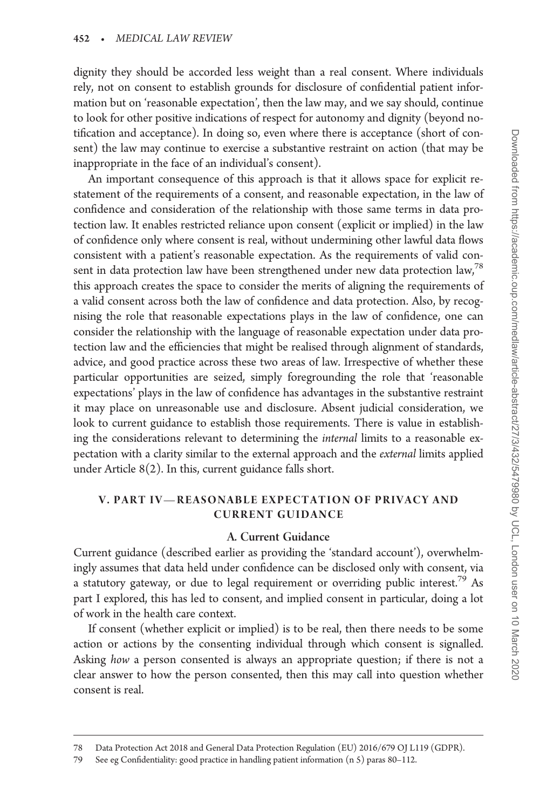dignity they should be accorded less weight than a real consent. Where individuals rely, not on consent to establish grounds for disclosure of confidential patient information but on 'reasonable expectation', then the law may, and we say should, continue to look for other positive indications of respect for autonomy and dignity (beyond notification and acceptance). In doing so, even where there is acceptance (short of consent) the law may continue to exercise a substantive restraint on action (that may be inappropriate in the face of an individual's consent).

An important consequence of this approach is that it allows space for explicit restatement of the requirements of a consent, and reasonable expectation, in the law of confidence and consideration of the relationship with those same terms in data protection law. It enables restricted reliance upon consent (explicit or implied) in the law of confidence only where consent is real, without undermining other lawful data flows consistent with a patient's reasonable expectation. As the requirements of valid consent in data protection law have been strengthened under new data protection law,<sup>78</sup> this approach creates the space to consider the merits of aligning the requirements of a valid consent across both the law of confidence and data protection. Also, by recognising the role that reasonable expectations plays in the law of confidence, one can consider the relationship with the language of reasonable expectation under data protection law and the efficiencies that might be realised through alignment of standards, advice, and good practice across these two areas of law. Irrespective of whether these particular opportunities are seized, simply foregrounding the role that 'reasonable expectations' plays in the law of confidence has advantages in the substantive restraint it may place on unreasonable use and disclosure. Absent judicial consideration, we look to current guidance to establish those requirements. There is value in establishing the considerations relevant to determining the internal limits to a reasonable expectation with a clarity similar to the external approach and the external limits applied under Article 8(2). In this, current guidance falls short.

#### V. PART IV—REASONABLE EXPECTATION OF PRIVACY AND CURRENT GUIDANCE

# A. Current Guidance

Current guidance (described earlier as providing the 'standard account'), overwhelmingly assumes that data held under confidence can be disclosed only with consent, via a statutory gateway, or due to legal requirement or overriding public interest.<sup>79</sup> As part I explored, this has led to consent, and implied consent in particular, doing a lot of work in the health care context.

If consent (whether explicit or implied) is to be real, then there needs to be some action or actions by the consenting individual through which consent is signalled. Asking how a person consented is always an appropriate question; if there is not a clear answer to how the person consented, then this may call into question whether consent is real.

<sup>78</sup> Data Protection Act 2018 and General Data Protection Regulation (EU) 2016/679 OJ L119 (GDPR).

<sup>79</sup> See eg Confidentiality: good practice in handling patient information (n 5) paras 80–112.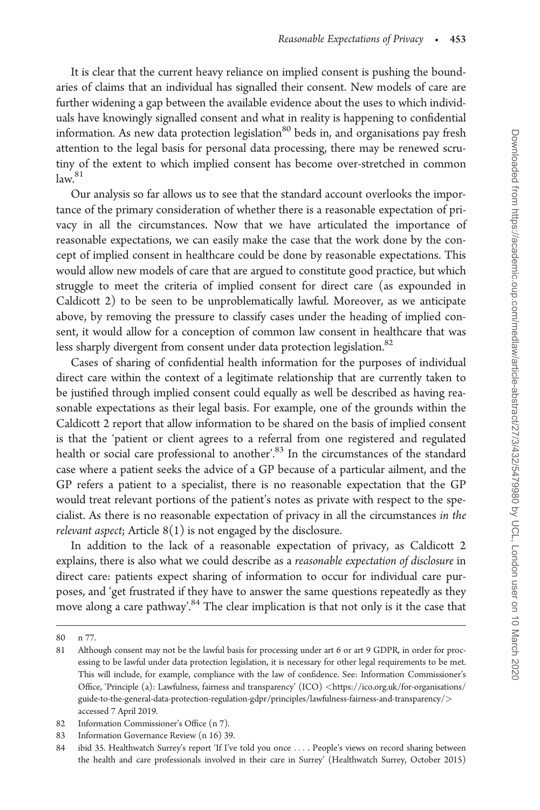It is clear that the current heavy reliance on implied consent is pushing the boundaries of claims that an individual has signalled their consent. New models of care are further widening a gap between the available evidence about the uses to which individuals have knowingly signalled consent and what in reality is happening to confidential information. As new data protection legislation<sup>80</sup> beds in, and organisations pay fresh attention to the legal basis for personal data processing, there may be renewed scrutiny of the extent to which implied consent has become over-stretched in common  $law.<sup>81</sup>$ 

Our analysis so far allows us to see that the standard account overlooks the importance of the primary consideration of whether there is a reasonable expectation of privacy in all the circumstances. Now that we have articulated the importance of reasonable expectations, we can easily make the case that the work done by the concept of implied consent in healthcare could be done by reasonable expectations. This would allow new models of care that are argued to constitute good practice, but which struggle to meet the criteria of implied consent for direct care (as expounded in Caldicott 2) to be seen to be unproblematically lawful. Moreover, as we anticipate above, by removing the pressure to classify cases under the heading of implied consent, it would allow for a conception of common law consent in healthcare that was less sharply divergent from consent under data protection legislation.<sup>82</sup>

Cases of sharing of confidential health information for the purposes of individual direct care within the context of a legitimate relationship that are currently taken to be justified through implied consent could equally as well be described as having reasonable expectations as their legal basis. For example, one of the grounds within the Caldicott 2 report that allow information to be shared on the basis of implied consent is that the 'patient or client agrees to a referral from one registered and regulated health or social care professional to another'.<sup>83</sup> In the circumstances of the standard case where a patient seeks the advice of a GP because of a particular ailment, and the GP refers a patient to a specialist, there is no reasonable expectation that the GP would treat relevant portions of the patient's notes as private with respect to the specialist. As there is no reasonable expectation of privacy in all the circumstances in the *relevant aspect*; Article  $8(1)$  is not engaged by the disclosure.

In addition to the lack of a reasonable expectation of privacy, as Caldicott 2 explains, there is also what we could describe as a reasonable expectation of disclosure in direct care: patients expect sharing of information to occur for individual care purposes, and 'get frustrated if they have to answer the same questions repeatedly as they move along a care pathway'.<sup>84</sup> The clear implication is that not only is it the case that

<sup>80</sup> n 77.

<sup>81</sup> Although consent may not be the lawful basis for processing under art 6 or art 9 GDPR, in order for processing to be lawful under data protection legislation, it is necessary for other legal requirements to be met. This will include, for example, compliance with the law of confidence. See: Information Commissioner's Office, 'Principle (a): Lawfulness, fairness and transparency' (ICO) <[https://ico.org.uk/for-organisations/](https://ico.org.uk/for-organisations/guide-to-the-general-data-protection-regulation-gdpr/principles/lawfulness-fairness-and-transparency/) [guide-to-the-general-data-protection-regulation-gdpr/principles/lawfulness-fairness-and-transparency/](https://ico.org.uk/for-organisations/guide-to-the-general-data-protection-regulation-gdpr/principles/lawfulness-fairness-and-transparency/)> accessed 7 April 2019.

<sup>82</sup> Information Commissioner's Office (n 7).

<sup>83</sup> Information Governance Review (n 16) 39.

<sup>84</sup> ibid 35. Healthwatch Surrey's report 'If I've told you once ... . People's views on record sharing between the health and care professionals involved in their care in Surrey' (Healthwatch Surrey, October 2015)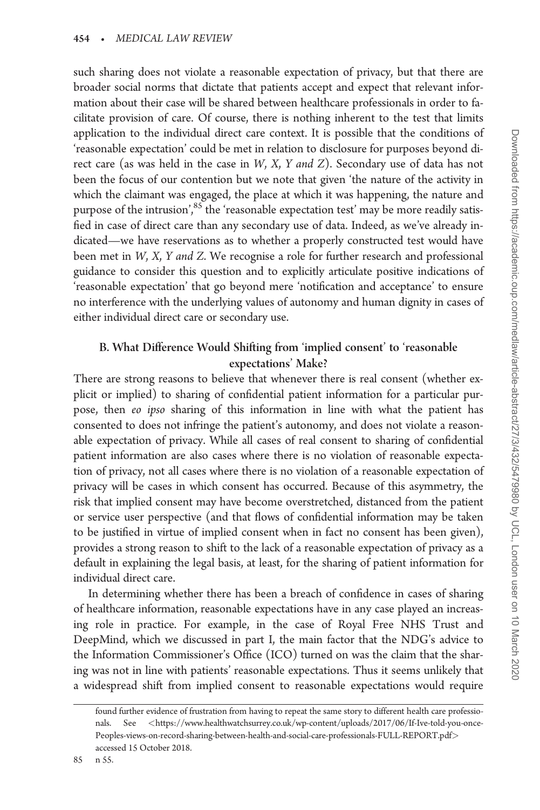such sharing does not violate a reasonable expectation of privacy, but that there are broader social norms that dictate that patients accept and expect that relevant information about their case will be shared between healthcare professionals in order to facilitate provision of care. Of course, there is nothing inherent to the test that limits application to the individual direct care context. It is possible that the conditions of 'reasonable expectation' could be met in relation to disclosure for purposes beyond direct care (as was held in the case in  $W$ ,  $X$ ,  $Y$  and  $Z$ ). Secondary use of data has not been the focus of our contention but we note that given 'the nature of the activity in which the claimant was engaged, the place at which it was happening, the nature and purpose of the intrusion',<sup>85</sup> the 'reasonable expectation test' may be more readily satisfied in case of direct care than any secondary use of data. Indeed, as we've already indicated—we have reservations as to whether a properly constructed test would have been met in W, X, Y and Z. We recognise a role for further research and professional guidance to consider this question and to explicitly articulate positive indications of 'reasonable expectation' that go beyond mere 'notification and acceptance' to ensure no interference with the underlying values of autonomy and human dignity in cases of either individual direct care or secondary use.

# B. What Difference Would Shifting from 'implied consent' to 'reasonable expectations' Make?

There are strong reasons to believe that whenever there is real consent (whether explicit or implied) to sharing of confidential patient information for a particular purpose, then eo ipso sharing of this information in line with what the patient has consented to does not infringe the patient's autonomy, and does not violate a reasonable expectation of privacy. While all cases of real consent to sharing of confidential patient information are also cases where there is no violation of reasonable expectation of privacy, not all cases where there is no violation of a reasonable expectation of privacy will be cases in which consent has occurred. Because of this asymmetry, the risk that implied consent may have become overstretched, distanced from the patient or service user perspective (and that flows of confidential information may be taken to be justified in virtue of implied consent when in fact no consent has been given), provides a strong reason to shift to the lack of a reasonable expectation of privacy as a default in explaining the legal basis, at least, for the sharing of patient information for individual direct care.

In determining whether there has been a breach of confidence in cases of sharing of healthcare information, reasonable expectations have in any case played an increasing role in practice. For example, in the case of Royal Free NHS Trust and DeepMind, which we discussed in part I, the main factor that the NDG's advice to the Information Commissioner's Office (ICO) turned on was the claim that the sharing was not in line with patients' reasonable expectations. Thus it seems unlikely that a widespread shift from implied consent to reasonable expectations would require

found further evidence of frustration from having to repeat the same story to different health care professionals. See <[https://www.healthwatchsurrey.co.uk/wp-content/uploads/2017/06/If-Ive-told-you-once-](https://www.healthwatchsurrey.co.uk/wp-content/uploads/2017/06/If-Ive-told-you-once-Peoples-views-on-record-sharing-between-health-and-social-care-professionals-FULL-REPORT.pdf)[Peoples-views-on-record-sharing-between-health-and-social-care-professionals-FULL-REPORT.pdf](https://www.healthwatchsurrey.co.uk/wp-content/uploads/2017/06/If-Ive-told-you-once-Peoples-views-on-record-sharing-between-health-and-social-care-professionals-FULL-REPORT.pdf)> accessed 15 October 2018.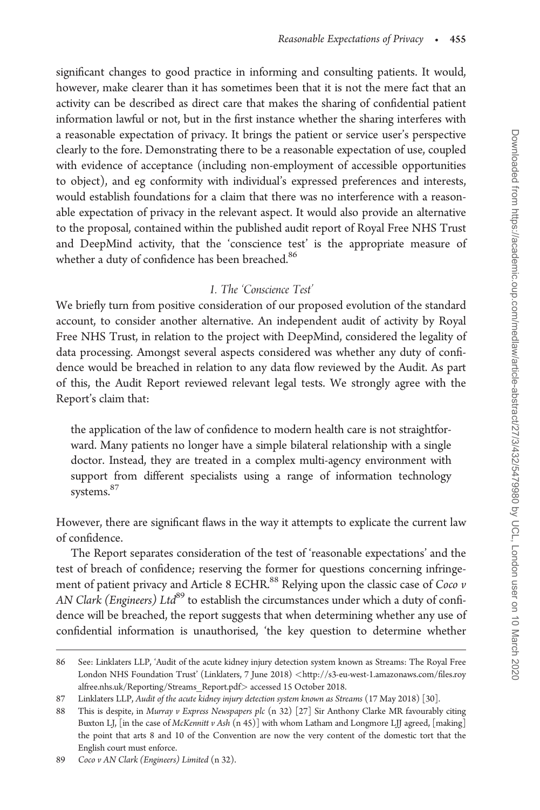significant changes to good practice in informing and consulting patients. It would, however, make clearer than it has sometimes been that it is not the mere fact that an activity can be described as direct care that makes the sharing of confidential patient information lawful or not, but in the first instance whether the sharing interferes with a reasonable expectation of privacy. It brings the patient or service user's perspective clearly to the fore. Demonstrating there to be a reasonable expectation of use, coupled with evidence of acceptance (including non-employment of accessible opportunities to object), and eg conformity with individual's expressed preferences and interests, would establish foundations for a claim that there was no interference with a reasonable expectation of privacy in the relevant aspect. It would also provide an alternative to the proposal, contained within the published audit report of Royal Free NHS Trust and DeepMind activity, that the 'conscience test' is the appropriate measure of whether a duty of confidence has been breached.<sup>86</sup>

#### 1. The 'Conscience Test'

We briefly turn from positive consideration of our proposed evolution of the standard account, to consider another alternative. An independent audit of activity by Royal Free NHS Trust, in relation to the project with DeepMind, considered the legality of data processing. Amongst several aspects considered was whether any duty of confidence would be breached in relation to any data flow reviewed by the Audit. As part of this, the Audit Report reviewed relevant legal tests. We strongly agree with the Report's claim that:

the application of the law of confidence to modern health care is not straightforward. Many patients no longer have a simple bilateral relationship with a single doctor. Instead, they are treated in a complex multi-agency environment with support from different specialists using a range of information technology systems.<sup>87</sup>

However, there are significant flaws in the way it attempts to explicate the current law of confidence.

The Report separates consideration of the test of 'reasonable expectations' and the test of breach of confidence; reserving the former for questions concerning infringement of patient privacy and Article 8 ECHR.<sup>88</sup> Relying upon the classic case of Coco v AN Clark (Engineers)  $Ltd^{89}$  to establish the circumstances under which a duty of confidence will be breached, the report suggests that when determining whether any use of confidential information is unauthorised, 'the key question to determine whether

<sup>86</sup> See: Linklaters LLP, 'Audit of the acute kidney injury detection system known as Streams: The Royal Free London NHS Foundation Trust' (Linklaters, 7 June 2018) <[http://s3-eu-west-1.amazonaws.com/files.roy](http://s3-eu-west-1.amazonaws.com/files.royalfree.nhs.uk/Reporting/Streams_Report.pdf) [alfree.nhs.uk/Reporting/Streams\\_Report.pdf](http://s3-eu-west-1.amazonaws.com/files.royalfree.nhs.uk/Reporting/Streams_Report.pdf)> accessed 15 October 2018.

<sup>87</sup> Linklaters LLP, Audit of the acute kidney injury detection system known as Streams (17 May 2018) [30].

<sup>88</sup> This is despite, in Murray v Express Newspapers plc (n 32) [27] Sir Anthony Clarke MR favourably citing Buxton LJ, [in the case of McKennitt v Ash (n 45)] with whom Latham and Longmore LJJ agreed, [making] the point that arts 8 and 10 of the Convention are now the very content of the domestic tort that the English court must enforce.

<sup>89</sup> Coco v AN Clark (Engineers) Limited (n 32).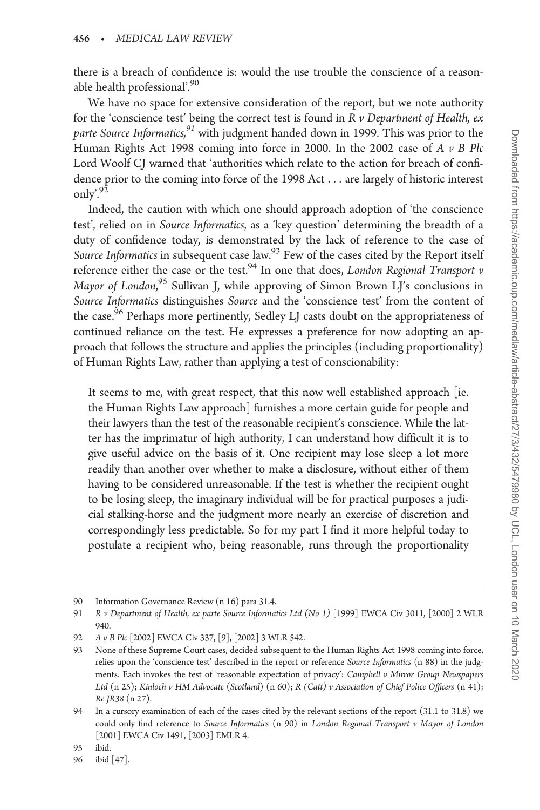there is a breach of confidence is: would the use trouble the conscience of a reasonable health professional'.<sup>90</sup>

We have no space for extensive consideration of the report, but we note authority for the 'conscience test' being the correct test is found in  $R v$  Department of Health, ex parte Source Informatics,<sup>91</sup> with judgment handed down in 1999. This was prior to the Human Rights Act 1998 coming into force in 2000. In the 2002 case of A v B Plc Lord Woolf CJ warned that 'authorities which relate to the action for breach of confidence prior to the coming into force of the 1998 Act ... are largely of historic interest only'.92

Indeed, the caution with which one should approach adoption of 'the conscience test', relied on in Source Informatics, as a 'key question' determining the breadth of a duty of confidence today, is demonstrated by the lack of reference to the case of Source Informatics in subsequent case law.<sup>93</sup> Few of the cases cited by the Report itself reference either the case or the test.<sup>94</sup> In one that does, London Regional Transport v Mayor of London, <sup>95</sup> Sullivan J, while approving of Simon Brown LJ's conclusions in Source Informatics distinguishes Source and the 'conscience test' from the content of the case.<sup>56</sup> Perhaps more pertinently, Sedley LJ casts doubt on the appropriateness of continued reliance on the test. He expresses a preference for now adopting an approach that follows the structure and applies the principles (including proportionality) of Human Rights Law, rather than applying a test of conscionability:

It seems to me, with great respect, that this now well established approach [ie. the Human Rights Law approach] furnishes a more certain guide for people and their lawyers than the test of the reasonable recipient's conscience. While the latter has the imprimatur of high authority, I can understand how difficult it is to give useful advice on the basis of it. One recipient may lose sleep a lot more readily than another over whether to make a disclosure, without either of them having to be considered unreasonable. If the test is whether the recipient ought to be losing sleep, the imaginary individual will be for practical purposes a judicial stalking-horse and the judgment more nearly an exercise of discretion and correspondingly less predictable. So for my part I find it more helpful today to postulate a recipient who, being reasonable, runs through the proportionality

<sup>90</sup> Information Governance Review (n 16) para 31.4.

<sup>91</sup> R v Department of Health, ex parte Source Informatics Ltd (No 1) [1999] EWCA Civ 3011, [2000] 2 WLR 940.

<sup>92</sup> A v B Plc [2002] EWCA Civ 337, [9], [2002] 3 WLR 542.

<sup>93</sup> None of these Supreme Court cases, decided subsequent to the Human Rights Act 1998 coming into force, relies upon the 'conscience test' described in the report or reference Source Informatics (n 88) in the judgments. Each invokes the test of 'reasonable expectation of privacy': Campbell v Mirror Group Newspapers Ltd (n 25); Kinloch v HM Advocate (Scotland) (n 60); R (Catt) v Association of Chief Police Officers (n 41); Re JR38 (n 27).

<sup>94</sup> In a cursory examination of each of the cases cited by the relevant sections of the report (31.1 to 31.8) we could only find reference to Source Informatics (n 90) in London Regional Transport v Mayor of London [2001] EWCA Civ 1491, [2003] EMLR 4.

<sup>95</sup> ibid.

<sup>96</sup> ibid [47].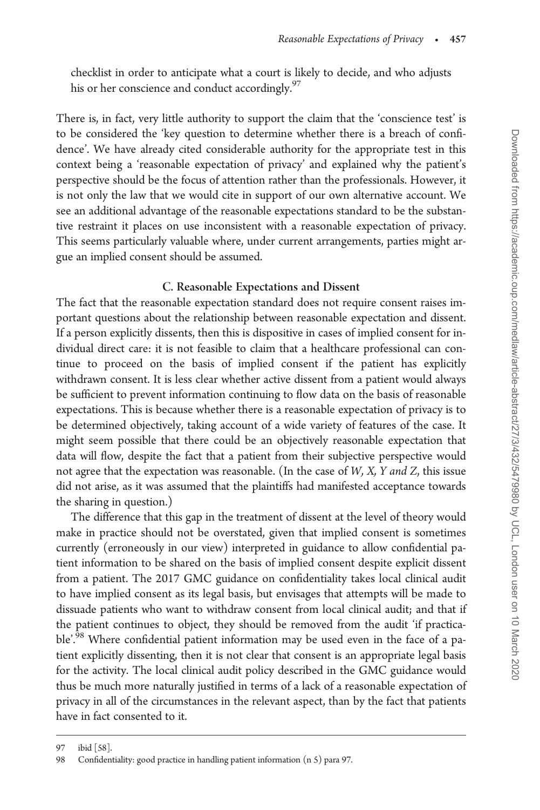checklist in order to anticipate what a court is likely to decide, and who adjusts his or her conscience and conduct accordingly.<sup>97</sup>

There is, in fact, very little authority to support the claim that the 'conscience test' is to be considered the 'key question to determine whether there is a breach of confidence'. We have already cited considerable authority for the appropriate test in this context being a 'reasonable expectation of privacy' and explained why the patient's perspective should be the focus of attention rather than the professionals. However, it is not only the law that we would cite in support of our own alternative account. We see an additional advantage of the reasonable expectations standard to be the substantive restraint it places on use inconsistent with a reasonable expectation of privacy. This seems particularly valuable where, under current arrangements, parties might argue an implied consent should be assumed.

## C. Reasonable Expectations and Dissent

The fact that the reasonable expectation standard does not require consent raises important questions about the relationship between reasonable expectation and dissent. If a person explicitly dissents, then this is dispositive in cases of implied consent for individual direct care: it is not feasible to claim that a healthcare professional can continue to proceed on the basis of implied consent if the patient has explicitly withdrawn consent. It is less clear whether active dissent from a patient would always be sufficient to prevent information continuing to flow data on the basis of reasonable expectations. This is because whether there is a reasonable expectation of privacy is to be determined objectively, taking account of a wide variety of features of the case. It might seem possible that there could be an objectively reasonable expectation that data will flow, despite the fact that a patient from their subjective perspective would not agree that the expectation was reasonable. (In the case of  $W$ ,  $X$ ,  $Y$  and  $Z$ , this issue did not arise, as it was assumed that the plaintiffs had manifested acceptance towards the sharing in question.)

The difference that this gap in the treatment of dissent at the level of theory would make in practice should not be overstated, given that implied consent is sometimes currently (erroneously in our view) interpreted in guidance to allow confidential patient information to be shared on the basis of implied consent despite explicit dissent from a patient. The 2017 GMC guidance on confidentiality takes local clinical audit to have implied consent as its legal basis, but envisages that attempts will be made to dissuade patients who want to withdraw consent from local clinical audit; and that if the patient continues to object, they should be removed from the audit 'if practicable'.<sup>98</sup> Where confidential patient information may be used even in the face of a patient explicitly dissenting, then it is not clear that consent is an appropriate legal basis for the activity. The local clinical audit policy described in the GMC guidance would thus be much more naturally justified in terms of a lack of a reasonable expectation of privacy in all of the circumstances in the relevant aspect, than by the fact that patients have in fact consented to it.

<sup>97</sup> ibid [58].

<sup>98</sup> Confidentiality: good practice in handling patient information (n 5) para 97.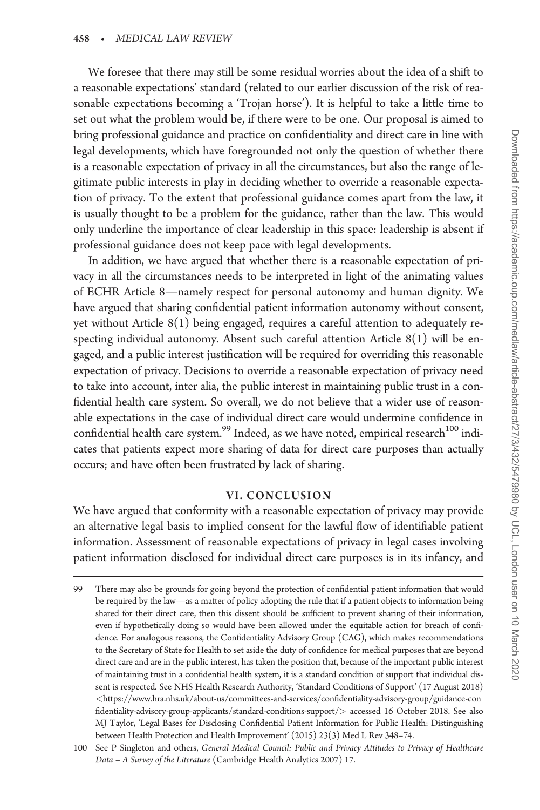We foresee that there may still be some residual worries about the idea of a shift to a reasonable expectations' standard (related to our earlier discussion of the risk of reasonable expectations becoming a 'Trojan horse'). It is helpful to take a little time to set out what the problem would be, if there were to be one. Our proposal is aimed to bring professional guidance and practice on confidentiality and direct care in line with legal developments, which have foregrounded not only the question of whether there is a reasonable expectation of privacy in all the circumstances, but also the range of legitimate public interests in play in deciding whether to override a reasonable expectation of privacy. To the extent that professional guidance comes apart from the law, it is usually thought to be a problem for the guidance, rather than the law. This would only underline the importance of clear leadership in this space: leadership is absent if professional guidance does not keep pace with legal developments.

In addition, we have argued that whether there is a reasonable expectation of privacy in all the circumstances needs to be interpreted in light of the animating values of ECHR Article 8—namely respect for personal autonomy and human dignity. We have argued that sharing confidential patient information autonomy without consent, yet without Article  $8(1)$  being engaged, requires a careful attention to adequately respecting individual autonomy. Absent such careful attention Article  $8(1)$  will be engaged, and a public interest justification will be required for overriding this reasonable expectation of privacy. Decisions to override a reasonable expectation of privacy need to take into account, inter alia, the public interest in maintaining public trust in a confidential health care system. So overall, we do not believe that a wider use of reasonable expectations in the case of individual direct care would undermine confidence in confidential health care system.<sup>99</sup> Indeed, as we have noted, empirical research<sup>100</sup> indicates that patients expect more sharing of data for direct care purposes than actually occurs; and have often been frustrated by lack of sharing.

#### VI. CONCLUSION

We have argued that conformity with a reasonable expectation of privacy may provide an alternative legal basis to implied consent for the lawful flow of identifiable patient information. Assessment of reasonable expectations of privacy in legal cases involving patient information disclosed for individual direct care purposes is in its infancy, and

<sup>99</sup> There may also be grounds for going beyond the protection of confidential patient information that would be required by the law—as a matter of policy adopting the rule that if a patient objects to information being shared for their direct care, then this dissent should be sufficient to prevent sharing of their information, even if hypothetically doing so would have been allowed under the equitable action for breach of confidence. For analogous reasons, the Confidentiality Advisory Group (CAG), which makes recommendations to the Secretary of State for Health to set aside the duty of confidence for medical purposes that are beyond direct care and are in the public interest, has taken the position that, because of the important public interest of maintaining trust in a confidential health system, it is a standard condition of support that individual dissent is respected. See NHS Health Research Authority, 'Standard Conditions of Support' (17 August 2018)  $\langle$ [https://www.hra.nhs.uk/about-us/committees-and-services/confidentiality-advisory-group/guidance-con](https://www.hra.nhs.uk/about-us/committees-and-services/confidentiality-advisory-group/guidance-confidentiality-advisory-group-applicants/standard-conditions-support/) [fidentiality-advisory-group-applicants/standard-conditions-support/](https://www.hra.nhs.uk/about-us/committees-and-services/confidentiality-advisory-group/guidance-confidentiality-advisory-group-applicants/standard-conditions-support/)> accessed 16 October 2018. See also MJ Taylor, 'Legal Bases for Disclosing Confidential Patient Information for Public Health: Distinguishing between Health Protection and Health Improvement' (2015) 23(3) Med L Rev 348–74.

<sup>100</sup> See P Singleton and others, General Medical Council: Public and Privacy Attitudes to Privacy of Healthcare Data – A Survey of the Literature (Cambridge Health Analytics 2007) 17.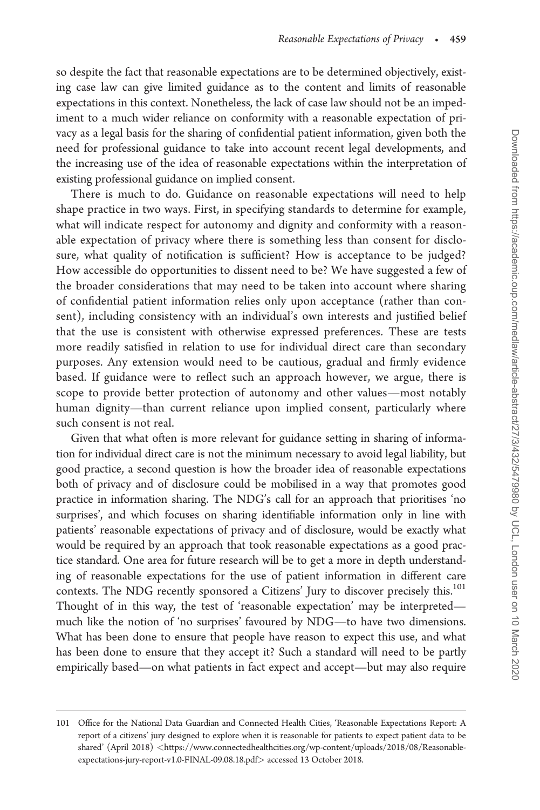so despite the fact that reasonable expectations are to be determined objectively, existing case law can give limited guidance as to the content and limits of reasonable expectations in this context. Nonetheless, the lack of case law should not be an impediment to a much wider reliance on conformity with a reasonable expectation of privacy as a legal basis for the sharing of confidential patient information, given both the need for professional guidance to take into account recent legal developments, and the increasing use of the idea of reasonable expectations within the interpretation of existing professional guidance on implied consent.

There is much to do. Guidance on reasonable expectations will need to help shape practice in two ways. First, in specifying standards to determine for example, what will indicate respect for autonomy and dignity and conformity with a reasonable expectation of privacy where there is something less than consent for disclosure, what quality of notification is sufficient? How is acceptance to be judged? How accessible do opportunities to dissent need to be? We have suggested a few of the broader considerations that may need to be taken into account where sharing of confidential patient information relies only upon acceptance (rather than consent), including consistency with an individual's own interests and justified belief that the use is consistent with otherwise expressed preferences. These are tests more readily satisfied in relation to use for individual direct care than secondary purposes. Any extension would need to be cautious, gradual and firmly evidence based. If guidance were to reflect such an approach however, we argue, there is scope to provide better protection of autonomy and other values—most notably human dignity—than current reliance upon implied consent, particularly where such consent is not real.

Given that what often is more relevant for guidance setting in sharing of information for individual direct care is not the minimum necessary to avoid legal liability, but good practice, a second question is how the broader idea of reasonable expectations both of privacy and of disclosure could be mobilised in a way that promotes good practice in information sharing. The NDG's call for an approach that prioritises 'no surprises', and which focuses on sharing identifiable information only in line with patients' reasonable expectations of privacy and of disclosure, would be exactly what would be required by an approach that took reasonable expectations as a good practice standard. One area for future research will be to get a more in depth understanding of reasonable expectations for the use of patient information in different care contexts. The NDG recently sponsored a Citizens' Jury to discover precisely this.<sup>101</sup> Thought of in this way, the test of 'reasonable expectation' may be interpreted much like the notion of 'no surprises' favoured by NDG—to have two dimensions. What has been done to ensure that people have reason to expect this use, and what has been done to ensure that they accept it? Such a standard will need to be partly empirically based—on what patients in fact expect and accept—but may also require

<sup>101</sup> Office for the National Data Guardian and Connected Health Cities, 'Reasonable Expectations Report: A report of a citizens' jury designed to explore when it is reasonable for patients to expect patient data to be shared' (April 2018) <[https://www.connectedhealthcities.org/wp-content/uploads/2018/08/Reasonable](https://www.connectedhealthcities.org/wp-content/uploads/2018/08/Reasonable-expectations-jury-report-v1.0-FINAL-09.08.18.pdf)[expectations-jury-report-v1.0-FINAL-09.08.18.pdf](https://www.connectedhealthcities.org/wp-content/uploads/2018/08/Reasonable-expectations-jury-report-v1.0-FINAL-09.08.18.pdf)> accessed 13 October 2018.